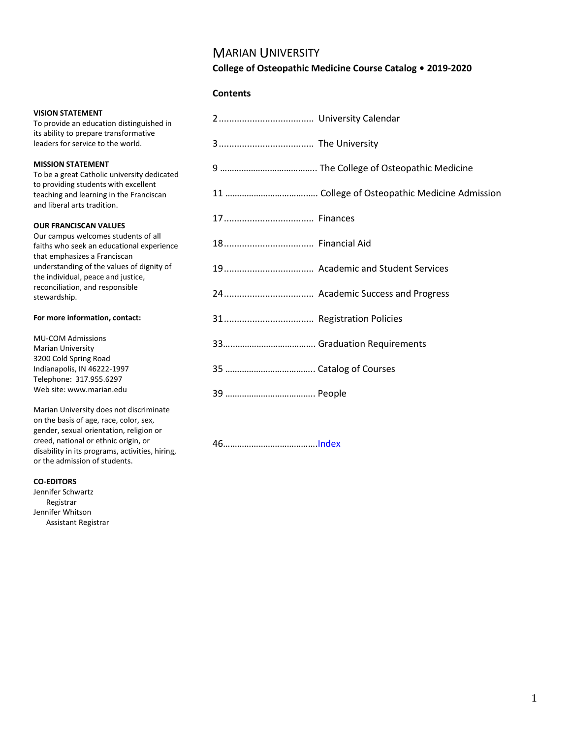## MARIAN UNIVERSITY

### **College of Osteopathic Medicine Course Catalog • 2019-2020**

#### **Contents**

To provide an education distinguished in its ability to prepare transformative leaders for service to the world.

#### **MISSION STATEMENT**

To be a great Catholic university dedicated to providing students with excellent teaching and learning in the Franciscan and liberal arts tradition.

#### **OUR FRANCISCAN VALUES**

Our campus welcomes students of all faiths who seek an educational experience that emphasizes a Franciscan understanding of the values of dignity of the individual, peace and justice, reconciliation, and responsible stewardship.

#### **For more information, contact:**

MU-COM Admissions Marian University 3200 Cold Spring Road Indianapolis, IN 46222-1997 Telephone: 317.955.6297 Web site: www.marian.edu

Marian University does not discriminate on the basis of age, race, color, sex, gender, sexual orientation, religion or creed, national or ethnic origin, or disability in its programs, activities, hiring, or the admission of students.

#### **CO-EDITORS**

Jennifer Schwartz Registrar Jennifer Whitson Assistant Registrar

| 2 University Calendar |                                  |
|-----------------------|----------------------------------|
|                       |                                  |
|                       |                                  |
|                       |                                  |
|                       |                                  |
| 18 Financial Aid      |                                  |
|                       | 19 Academic and Student Services |
|                       | 24 Academic Success and Progress |
|                       |                                  |
|                       |                                  |
|                       |                                  |
|                       |                                  |

46………………………………….[Index](#page-45-0)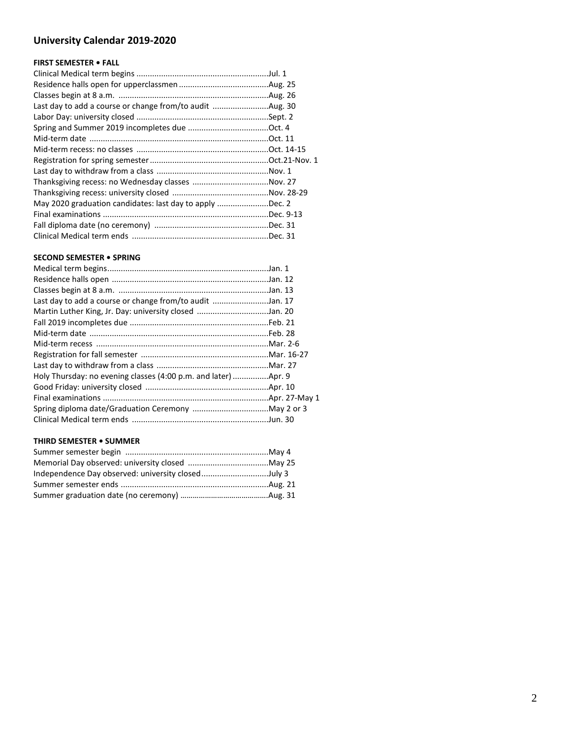## <span id="page-1-0"></span>**[University Calendar 2019-202](#page-1-0)0**

## **FIRST SEMESTER • FALL**

| May 2020 graduation candidates: last day to apply Dec. 2 |  |
|----------------------------------------------------------|--|
|                                                          |  |
|                                                          |  |
|                                                          |  |

### **SECOND SEMESTER • SPRING**

| Last day to add a course or change from/to audit Jan. 17 |  |
|----------------------------------------------------------|--|
| Martin Luther King, Jr. Day: university closed Jan. 20   |  |
|                                                          |  |
|                                                          |  |
|                                                          |  |
|                                                          |  |
|                                                          |  |
|                                                          |  |
|                                                          |  |
|                                                          |  |
|                                                          |  |
|                                                          |  |

#### **THIRD SEMESTER • SUMMER**

| Independence Day observed: university closedJuly 3 |  |
|----------------------------------------------------|--|
|                                                    |  |
|                                                    |  |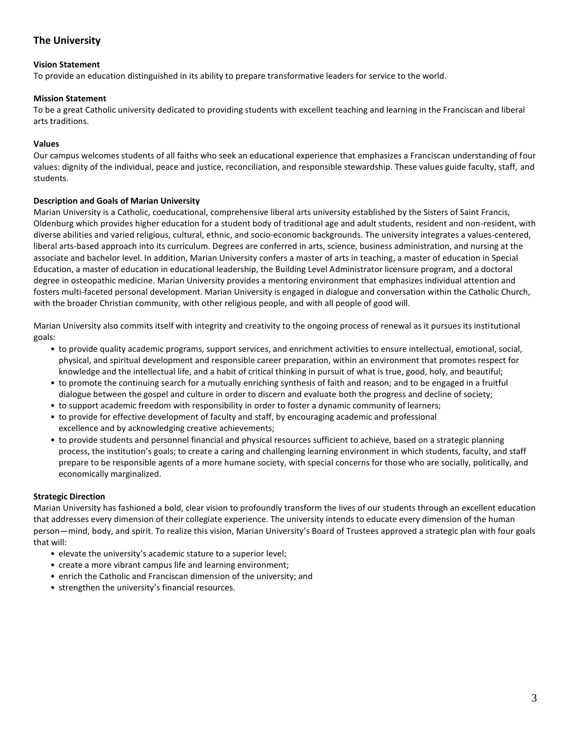## <span id="page-2-0"></span>**The University**

#### <span id="page-2-5"></span>**Vision Statement**

To provide an education distinguished in its ability to prepare transformative leaders for service to the world.

#### <span id="page-2-3"></span>**Mission Statement**

To be a great Catholic university dedicated to providing students with excellent teaching and learning in the Franciscan and liberal arts traditions.

#### <span id="page-2-4"></span>**Values**

Our campus welcomes students of all faiths who seek an educational experience that emphasizes a Franciscan understanding of four values: dignity of the individual, peace and justice, reconciliation, and responsible stewardship. These values guide faculty, staff, and students.

#### <span id="page-2-2"></span>**Description and Goals of Marian University**

Marian University is a Catholic, coeducational, comprehensive liberal arts university established by the Sisters of Saint Francis, Oldenburg which provides higher education for a student body of traditional age and adult students, resident and non-resident, with diverse abilities and varied religious, cultural, ethnic, and socio-economic backgrounds. The university integrates a values-centered, liberal arts-based approach into its curriculum. Degrees are conferred in arts, science, business administration, and nursing at the associate and bachelor level. In addition, Marian University confers a master of arts in teaching, a master of education in Special Education, a master of education in educational leadership, the Building Level Administrator licensure program, and a doctoral degree in osteopathic medicine. Marian University provides a mentoring environment that emphasizes individual attention and fosters multi-faceted personal development. Marian University is engaged in dialogue and conversation within the Catholic Church, with the broader Christian community, with other religious people, and with all people of good will.

Marian University also commits itself with integrity and creativity to the ongoing process of renewal as it pursues its institutional goals:

- to provide quality academic programs, support services, and enrichment activities to ensure intellectual, emotional, social, physical, and spiritual development and responsible career preparation, within an environment that promotes respect for knowledge and the intellectual life, and a habit of critical thinking in pursuit of what is true, good, holy, and beautiful;
- to promote the continuing search for a mutually enriching synthesis of faith and reason; and to be engaged in a fruitful dialogue between the gospel and culture in order to discern and evaluate both the progress and decline of society;
- to support academic freedom with responsibility in order to foster a dynamic community of learners;
- to provide for effective development of faculty and staff, by encouraging academic and professional excellence and by acknowledging creative achievements;
- to provide students and personnel financial and physical resources sufficient to achieve, based on a strategic planning process, the institution's goals; to create a caring and challenging learning environment in which students, faculty, and staff prepare to be responsible agents of a more humane society, with special concerns for those who are socially, politically, and economically marginalized.

#### <span id="page-2-1"></span>**Strategic Direction**

Marian University has fashioned a bold, clear vision to profoundly transform the lives of our students through an excellent education that addresses every dimension of their collegiate experience. The university intends to educate every dimension of the human person—mind, body, and spirit. To realize this vision, Marian University's Board of Trustees approved a strategic plan with four goals that will:

- elevate the university's academic stature to a superior level;
- create a more vibrant campus life and learning environment;
- enrich the Catholic and Franciscan dimension of the university; and
- strengthen the university's financial resources.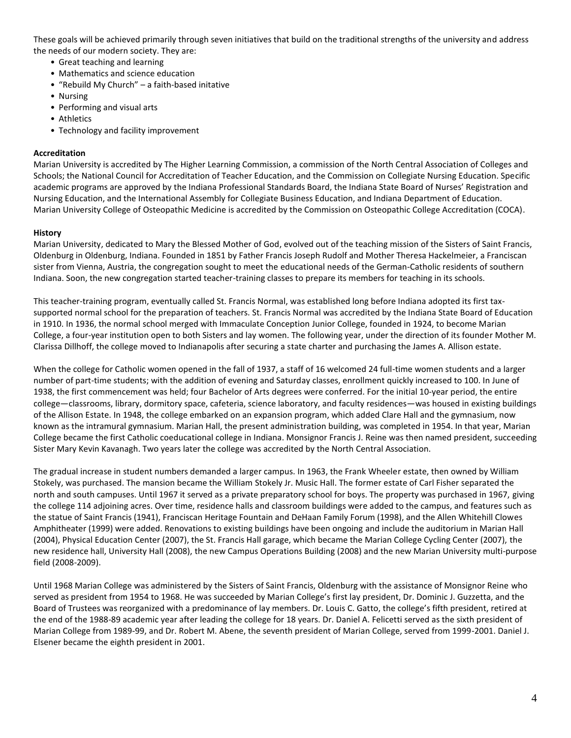These goals will be achieved primarily through seven initiatives that build on the traditional strengths of the university and address the needs of our modern society. They are:

- Great teaching and learning
- Mathematics and science education
- "Rebuild My Church" a faith-based initative
- Nursing
- Performing and visual arts
- Athletics
- Technology and facility improvement

#### **Accreditation**

Marian University is accredited by The Higher Learning Commission, a commission of the North Central Association of Colleges and Schools; the National Council for Accreditation of Teacher Education, and the Commission on Collegiate Nursing Education. Specific academic programs are approved by the Indiana Professional Standards Board, the Indiana State Board of Nurses' Registration and Nursing Education, and the International Assembly for Collegiate Business Education, and Indiana Department of Education. Marian University College of Osteopathic Medicine is accredited by the Commission on Osteopathic College Accreditation (COCA).

#### <span id="page-3-0"></span>**History**

Marian University, dedicated to Mary the Blessed Mother of God, evolved out of the teaching mission of the Sisters of Saint Francis, Oldenburg in Oldenburg, Indiana. Founded in 1851 by Father Francis Joseph Rudolf and Mother Theresa Hackelmeier, a Franciscan sister from Vienna, Austria, the congregation sought to meet the educational needs of the German-Catholic residents of southern Indiana. Soon, the new congregation started teacher-training classes to prepare its members for teaching in its schools.

This teacher-training program, eventually called St. Francis Normal, was established long before Indiana adopted its first taxsupported normal school for the preparation of teachers. St. Francis Normal was accredited by the Indiana State Board of Education in 1910. In 1936, the normal school merged with Immaculate Conception Junior College, founded in 1924, to become Marian College, a four-year institution open to both Sisters and lay women. The following year, under the direction of its founder Mother M. Clarissa Dillhoff, the college moved to Indianapolis after securing a state charter and purchasing the James A. Allison estate.

When the college for Catholic women opened in the fall of 1937, a staff of 16 welcomed 24 full-time women students and a larger number of part-time students; with the addition of evening and Saturday classes, enrollment quickly increased to 100. In June of 1938, the first commencement was held; four Bachelor of Arts degrees were conferred. For the initial 10-year period, the entire college—classrooms, library, dormitory space, cafeteria, science laboratory, and faculty residences—was housed in existing buildings of the Allison Estate. In 1948, the college embarked on an expansion program, which added Clare Hall and the gymnasium, now known as the intramural gymnasium. Marian Hall, the present administration building, was completed in 1954. In that year, Marian College became the first Catholic coeducational college in Indiana. Monsignor Francis J. Reine was then named president, succeeding Sister Mary Kevin Kavanagh. Two years later the college was accredited by the North Central Association.

The gradual increase in student numbers demanded a larger campus. In 1963, the Frank Wheeler estate, then owned by William Stokely, was purchased. The mansion became the William Stokely Jr. Music Hall. The former estate of Carl Fisher separated the north and south campuses. Until 1967 it served as a private preparatory school for boys. The property was purchased in 1967, giving the college 114 adjoining acres. Over time, residence halls and classroom buildings were added to the campus, and features such as the statue of Saint Francis (1941), Franciscan Heritage Fountain and DeHaan Family Forum (1998), and the Allen Whitehill Clowes Amphitheater (1999) were added. Renovations to existing buildings have been ongoing and include the auditorium in Marian Hall (2004), Physical Education Center (2007), the St. Francis Hall garage, which became the Marian College Cycling Center (2007), the new residence hall, University Hall (2008), the new Campus Operations Building (2008) and the new Marian University multi-purpose field (2008-2009).

Until 1968 Marian College was administered by the Sisters of Saint Francis, Oldenburg with the assistance of Monsignor Reine who served as president from 1954 to 1968. He was succeeded by Marian College's first lay president, Dr. Dominic J. Guzzetta, and the Board of Trustees was reorganized with a predominance of lay members. Dr. Louis C. Gatto, the college's fifth president, retired at the end of the 1988-89 academic year after leading the college for 18 years. Dr. Daniel A. Felicetti served as the sixth president of Marian College from 1989-99, and Dr. Robert M. Abene, the seventh president of Marian College, served from 1999-2001. Daniel J. Elsener became the eighth president in 2001.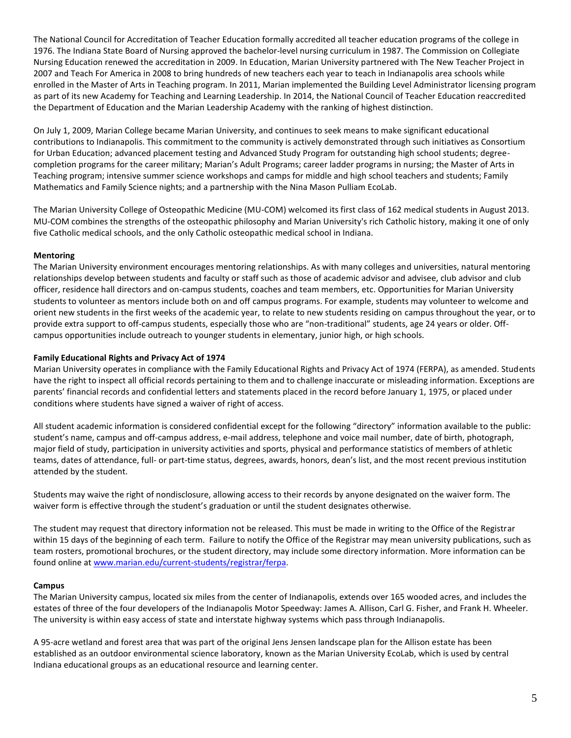The National Council for Accreditation of Teacher Education formally accredited all teacher education programs of the college in 1976. The Indiana State Board of Nursing approved the bachelor-level nursing curriculum in 1987. The Commission on Collegiate Nursing Education renewed the accreditation in 2009. In Education, Marian University partnered with The New Teacher Project in 2007 and Teach For America in 2008 to bring hundreds of new teachers each year to teach in Indianapolis area schools while enrolled in the Master of Arts in Teaching program. In 2011, Marian implemented the Building Level Administrator licensing program as part of its new Academy for Teaching and Learning Leadership. In 2014, the National Council of Teacher Education reaccredited the Department of Education and the Marian Leadership Academy with the ranking of highest distinction.

On July 1, 2009, Marian College became Marian University, and continues to seek means to make significant educational contributions to Indianapolis. This commitment to the community is actively demonstrated through such initiatives as Consortium for Urban Education; advanced placement testing and Advanced Study Program for outstanding high school students; degreecompletion programs for the career military; Marian's Adult Programs; career ladder programs in nursing; the Master of Arts in Teaching program; intensive summer science workshops and camps for middle and high school teachers and students; Family Mathematics and Family Science nights; and a partnership with the Nina Mason Pulliam EcoLab.

The Marian University College of Osteopathic Medicine (MU-COM) welcomed its first class of 162 medical students in August 2013. MU-COM combines the strengths of the osteopathic philosophy and Marian University's rich Catholic history, making it one of only five Catholic medical schools, and the only Catholic osteopathic medical school in Indiana.

#### <span id="page-4-2"></span>**Mentoring**

The Marian University environment encourages mentoring relationships. As with many colleges and universities, natural mentoring relationships develop between students and faculty or staff such as those of academic advisor and advisee, club advisor and club officer, residence hall directors and on-campus students, coaches and team members, etc. Opportunities for Marian University students to volunteer as mentors include both on and off campus programs. For example, students may volunteer to welcome and orient new students in the first weeks of the academic year, to relate to new students residing on campus throughout the year, or to provide extra support to off-campus students, especially those who are "non-traditional" students, age 24 years or older. Offcampus opportunities include outreach to younger students in elementary, junior high, or high schools.

#### <span id="page-4-1"></span>**Family Educational Rights and Privacy Act of 1974**

Marian University operates in compliance with the Family Educational Rights and Privacy Act of 1974 (FERPA), as amended. Students have the right to inspect all official records pertaining to them and to challenge inaccurate or misleading information. Exceptions are parents' financial records and confidential letters and statements placed in the record before January 1, 1975, or placed under conditions where students have signed a waiver of right of access.

All student academic information is considered confidential except for the following "directory" information available to the public: student's name, campus and off-campus address, e-mail address, telephone and voice mail number, date of birth, photograph, major field of study, participation in university activities and sports, physical and performance statistics of members of athletic teams, dates of attendance, full- or part-time status, degrees, awards, honors, dean's list, and the most recent previous institution attended by the student.

Students may waive the right of nondisclosure, allowing access to their records by anyone designated on the waiver form. The waiver form is effective through the student's graduation or until the student designates otherwise.

The student may request that directory information not be released. This must be made in writing to the Office of the Registrar within 15 days of the beginning of each term. Failure to notify the Office of the Registrar may mean university publications, such as team rosters, promotional brochures, or the student directory, may include some directory information. More information can be found online a[t www.marian.edu/current-students/registrar/ferpa.](http://www.marian.edu/current-students/registrar/ferpa)

#### <span id="page-4-0"></span>**Campus**

The Marian University campus, located six miles from the center of Indianapolis, extends over 165 wooded acres, and includes the estates of three of the four developers of the Indianapolis Motor Speedway: James A. Allison, Carl G. Fisher, and Frank H. Wheeler. The university is within easy access of state and interstate highway systems which pass through Indianapolis.

A 95-acre wetland and forest area that was part of the original Jens Jensen landscape plan for the Allison estate has been established as an outdoor environmental science laboratory, known as the Marian University EcoLab, which is used by central Indiana educational groups as an educational resource and learning center.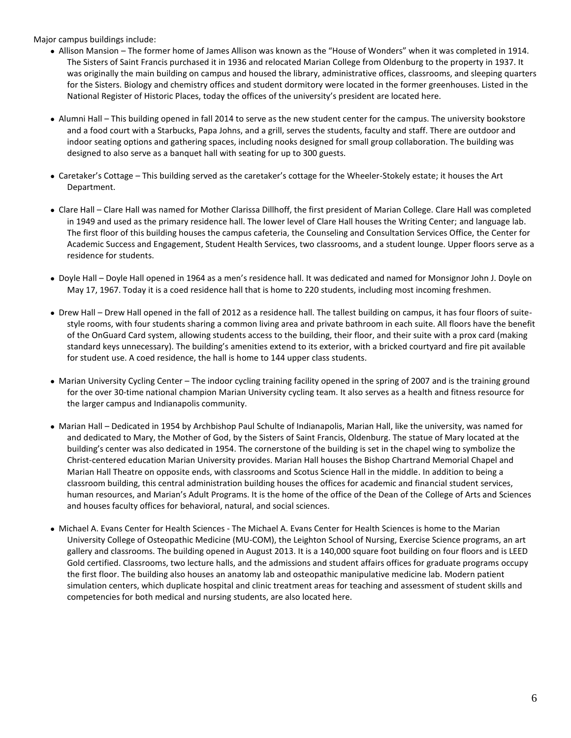Major campus buildings include:

- Allison Mansion The former home of James Allison was known as the "House of Wonders" when it was completed in 1914. The Sisters of Saint Francis purchased it in 1936 and relocated Marian College from Oldenburg to the property in 1937. It was originally the main building on campus and housed the library, administrative offices, classrooms, and sleeping quarters for the Sisters. Biology and chemistry offices and student dormitory were located in the former greenhouses. Listed in the National Register of Historic Places, today the offices of the university's president are located here.
- Alumni Hall This building opened in fall 2014 to serve as the new student center for the campus. The university bookstore and a food court with a Starbucks, Papa Johns, and a grill, serves the students, faculty and staff. There are outdoor and indoor seating options and gathering spaces, including nooks designed for small group collaboration. The building was designed to also serve as a banquet hall with seating for up to 300 guests.
- Caretaker's Cottage This building served as the caretaker's cottage for the Wheeler-Stokely estate; it houses the Art Department.
- Clare Hall Clare Hall was named for Mother Clarissa Dillhoff, the first president of Marian College. Clare Hall was completed in 1949 and used as the primary residence hall. The lower level of Clare Hall houses the Writing Center; and language lab. The first floor of this building houses the campus cafeteria, the Counseling and Consultation Services Office, the Center for Academic Success and Engagement, Student Health Services, two classrooms, and a student lounge. Upper floors serve as a residence for students.
- Doyle Hall Doyle Hall opened in 1964 as a men's residence hall. It was dedicated and named for Monsignor John J. Doyle on May 17, 1967. Today it is a coed residence hall that is home to 220 students, including most incoming freshmen.
- Drew Hall Drew Hall opened in the fall of 2012 as a residence hall. The tallest building on campus, it has four floors of suitestyle rooms, with four students sharing a common living area and private bathroom in each suite. All floors have the benefit of the OnGuard Card system, allowing students access to the building, their floor, and their suite with a prox card (making standard keys unnecessary). The building's amenities extend to its exterior, with a bricked courtyard and fire pit available for student use. A coed residence, the hall is home to 144 upper class students.
- Marian University Cycling Center The indoor cycling training facility opened in the spring of 2007 and is the training ground for the over 30-time national champion Marian University cycling team. It also serves as a health and fitness resource for the larger campus and Indianapolis community.
- Marian Hall Dedicated in 1954 by Archbishop Paul Schulte of Indianapolis, Marian Hall, like the university, was named for and dedicated to Mary, the Mother of God, by the Sisters of Saint Francis, Oldenburg. The statue of Mary located at the building's center was also dedicated in 1954. The cornerstone of the building is set in the chapel wing to symbolize the Christ-centered education Marian University provides. Marian Hall houses the Bishop Chartrand Memorial Chapel and Marian Hall Theatre on opposite ends, with classrooms and Scotus Science Hall in the middle. In addition to being a classroom building, this central administration building houses the offices for academic and financial student services, human resources, and Marian's Adult Programs. It is the home of the office of the Dean of the College of Arts and Sciences and houses faculty offices for behavioral, natural, and social sciences.
- Michael A. Evans Center for Health Sciences The Michael A. Evans Center for Health Sciences is home to the Marian University College of Osteopathic Medicine (MU-COM), the Leighton School of Nursing, Exercise Science programs, an art gallery and classrooms. The building opened in August 2013. It is a 140,000 square foot building on four floors and is LEED Gold certified. Classrooms, two lecture halls, and the admissions and student affairs offices for graduate programs occupy the first floor. The building also houses an anatomy lab and osteopathic manipulative medicine lab. Modern patient simulation centers, which duplicate hospital and clinic treatment areas for teaching and assessment of student skills and competencies for both medical and nursing students, are also located here.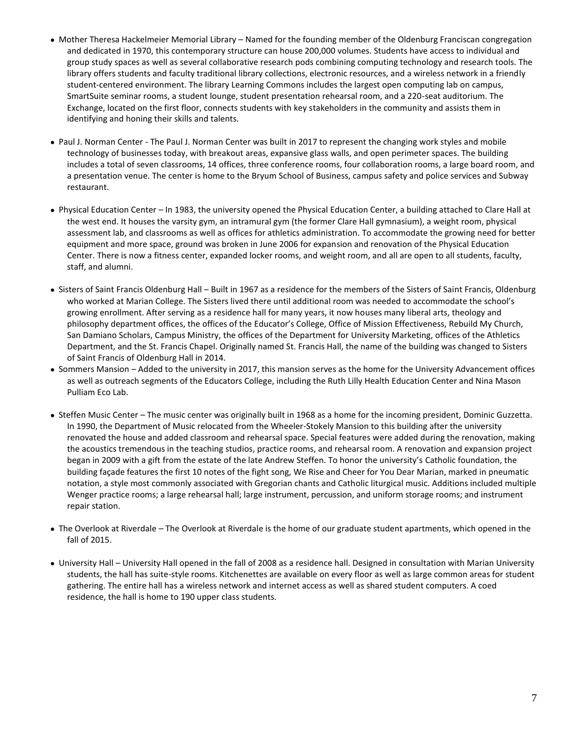- Mother Theresa Hackelmeier Memorial Library Named for the founding member of the Oldenburg Franciscan congregation and dedicated in 1970, this contemporary structure can house 200,000 volumes. Students have access to individual and group study spaces as well as several collaborative research pods combining computing technology and research tools. The library offers students and faculty traditional library collections, electronic resources, and a wireless network in a friendly student-centered environment. The library Learning Commons includes the largest open computing lab on campus, SmartSuite seminar rooms, a student lounge, student presentation rehearsal room, and a 220-seat auditorium. The Exchange, located on the first floor, connects students with key stakeholders in the community and assists them in identifying and honing their skills and talents.
- Paul J. Norman Center The Paul J. Norman Center was built in 2017 to represent the changing work styles and mobile technology of businesses today, with breakout areas, expansive glass walls, and open perimeter spaces. The building includes a total of seven classrooms, 14 offices, three conference rooms, four collaboration rooms, a large board room, and a presentation venue. The center is home to the Bryum School of Business, campus safety and police services and Subway restaurant.
- Physical Education Center In 1983, the university opened the Physical Education Center, a building attached to Clare Hall at the west end. It houses the varsity gym, an intramural gym (the former Clare Hall gymnasium), a weight room, physical assessment lab, and classrooms as well as offices for athletics administration. To accommodate the growing need for better equipment and more space, ground was broken in June 2006 for expansion and renovation of the Physical Education Center. There is now a fitness center, expanded locker rooms, and weight room, and all are open to all students, faculty, staff, and alumni.
- Sisters of Saint Francis Oldenburg Hall Built in 1967 as a residence for the members of the Sisters of Saint Francis, Oldenburg who worked at Marian College. The Sisters lived there until additional room was needed to accommodate the school's growing enrollment. After serving as a residence hall for many years, it now houses many liberal arts, theology and philosophy department offices, the offices of the Educator's College, Office of Mission Effectiveness, Rebuild My Church, San Damiano Scholars, Campus Ministry, the offices of the Department for University Marketing, offices of the Athletics Department, and the St. Francis Chapel. Originally named St. Francis Hall, the name of the building was changed to Sisters of Saint Francis of Oldenburg Hall in 2014.
- Sommers Mansion Added to the university in 2017, this mansion serves as the home for the University Advancement offices as well as outreach segments of the Educators College, including the Ruth Lilly Health Education Center and Nina Mason Pulliam Eco Lab.
- Steffen Music Center The music center was originally built in 1968 as a home for the incoming president, Dominic Guzzetta. In 1990, the Department of Music relocated from the Wheeler-Stokely Mansion to this building after the university renovated the house and added classroom and rehearsal space. Special features were added during the renovation, making the acoustics tremendous in the teaching studios, practice rooms, and rehearsal room. A renovation and expansion project began in 2009 with a gift from the estate of the late Andrew Steffen. To honor the university's Catholic foundation, the building façade features the first 10 notes of the fight song, We Rise and Cheer for You Dear Marian, marked in pneumatic notation, a style most commonly associated with Gregorian chants and Catholic liturgical music. Additions included multiple Wenger practice rooms; a large rehearsal hall; large instrument, percussion, and uniform storage rooms; and instrument repair station.
- The Overlook at Riverdale The Overlook at Riverdale is the home of our graduate student apartments, which opened in the fall of 2015.
- University Hall University Hall opened in the fall of 2008 as a residence hall. Designed in consultation with Marian University students, the hall has suite-style rooms. Kitchenettes are available on every floor as well as large common areas for student gathering. The entire hall has a wireless network and internet access as well as shared student computers. A coed residence, the hall is home to 190 upper class students.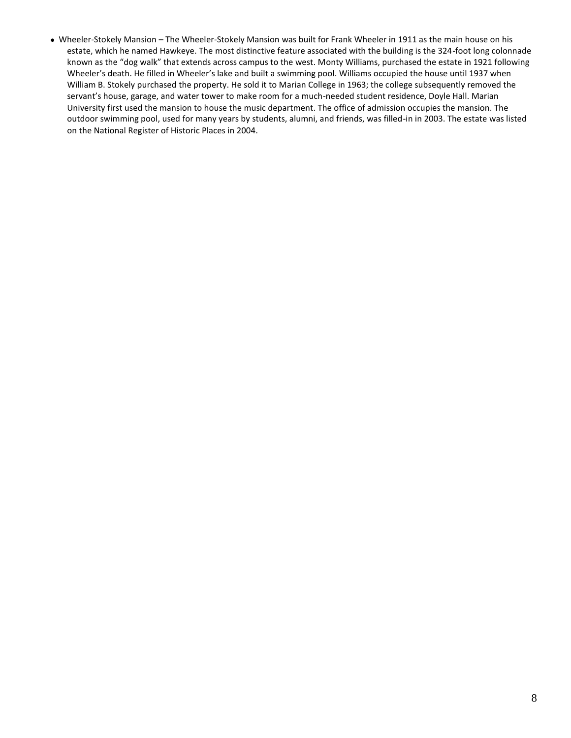Wheeler-Stokely Mansion – The Wheeler-Stokely Mansion was built for Frank Wheeler in 1911 as the main house on his estate, which he named Hawkeye. The most distinctive feature associated with the building is the 324-foot long colonnade known as the "dog walk" that extends across campus to the west. Monty Williams, purchased the estate in 1921 following Wheeler's death. He filled in Wheeler's lake and built a swimming pool. Williams occupied the house until 1937 when William B. Stokely purchased the property. He sold it to Marian College in 1963; the college subsequently removed the servant's house, garage, and water tower to make room for a much-needed student residence, Doyle Hall. Marian University first used the mansion to house the music department. The office of admission occupies the mansion. The outdoor swimming pool, used for many years by students, alumni, and friends, was filled-in in 2003. The estate was listed on the National Register of Historic Places in 2004.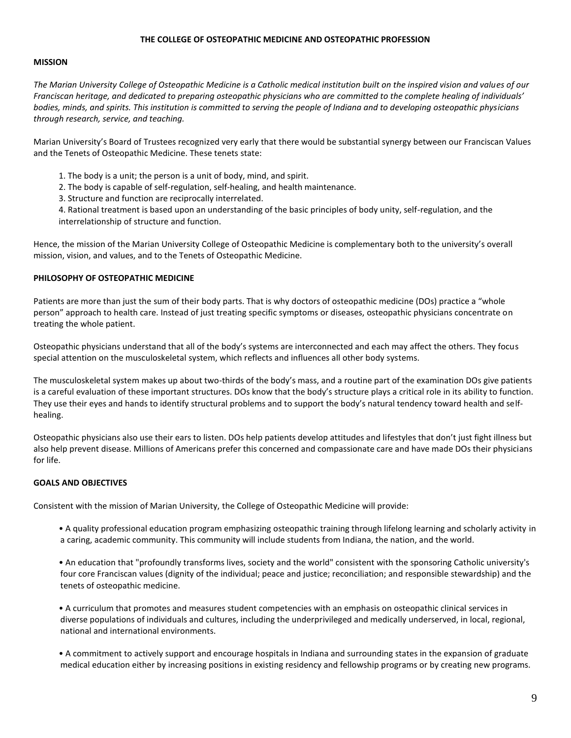#### **THE COLLEGE OF OSTEOPATHIC MEDICINE AND OSTEOPATHIC PROFESSION**

#### **MISSION**

*The Marian University College of Osteopathic Medicine is a Catholic medical institution built on the inspired vision and values of our Franciscan heritage, and dedicated to preparing osteopathic physicians who are committed to the complete healing of individuals' bodies, minds, and spirits. This institution is committed to serving the people of Indiana and to developing osteopathic physicians through research, service, and teaching.* 

Marian University's Board of Trustees recognized very early that there would be substantial synergy between our Franciscan Values and the Tenets of Osteopathic Medicine. These tenets state:

- 1. The body is a unit; the person is a unit of body, mind, and spirit.
- 2. The body is capable of self-regulation, self-healing, and health maintenance.
- 3. Structure and function are reciprocally interrelated.

4. Rational treatment is based upon an understanding of the basic principles of body unity, self-regulation, and the interrelationship of structure and function.

Hence, the mission of the Marian University College of Osteopathic Medicine is complementary both to the university's overall mission, vision, and values, and to the Tenets of Osteopathic Medicine.

#### **PHILOSOPHY OF OSTEOPATHIC MEDICINE**

Patients are more than just the sum of their body parts. That is why doctors of osteopathic medicine (DOs) practice a "whole person" approach to health care. Instead of just treating specific symptoms or diseases, osteopathic physicians concentrate on treating the whole patient.

Osteopathic physicians understand that all of the body's systems are interconnected and each may affect the others. They focus special attention on the musculoskeletal system, which reflects and influences all other body systems.

The musculoskeletal system makes up about two-thirds of the body's mass, and a routine part of the examination DOs give patients is a careful evaluation of these important structures. DOs know that the body's structure plays a critical role in its ability to function. They use their eyes and hands to identify structural problems and to support the body's natural tendency toward health and selfhealing.

Osteopathic physicians also use their ears to listen. DOs help patients develop attitudes and lifestyles that don't just fight illness but also help prevent disease. Millions of Americans prefer this concerned and compassionate care and have made DOs their physicians for life.

#### **GOALS AND OBJECTIVES**

Consistent with the mission of Marian University, the College of Osteopathic Medicine will provide:

- A quality professional education program emphasizing osteopathic training through lifelong learning and scholarly activity in a caring, academic community. This community will include students from Indiana, the nation, and the world.
- An education that "profoundly transforms lives, society and the world" consistent with the sponsoring Catholic university's four core Franciscan values (dignity of the individual; peace and justice; reconciliation; and responsible stewardship) and the tenets of osteopathic medicine.

• A curriculum that promotes and measures student competencies with an emphasis on osteopathic clinical services in diverse populations of individuals and cultures, including the underprivileged and medically underserved, in local, regional, national and international environments.

• A commitment to actively support and encourage hospitals in Indiana and surrounding states in the expansion of graduate medical education either by increasing positions in existing residency and fellowship programs or by creating new programs.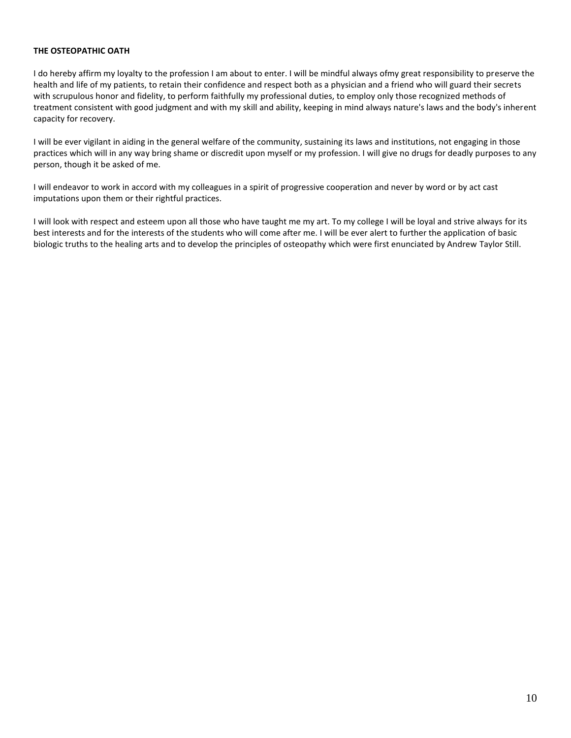#### **THE OSTEOPATHIC OATH**

I do hereby affirm my loyalty to the profession I am about to enter. I will be mindful always ofmy great responsibility to preserve the health and life of my patients, to retain their confidence and respect both as a physician and a friend who will guard their secrets with scrupulous honor and fidelity, to perform faithfully my professional duties, to employ only those recognized methods of treatment consistent with good judgment and with my skill and ability, keeping in mind always nature's laws and the body's inherent capacity for recovery.

I will be ever vigilant in aiding in the general welfare of the community, sustaining its laws and institutions, not engaging in those practices which will in any way bring shame or discredit upon myself or my profession. I will give no drugs for deadly purposes to any person, though it be asked of me.

I will endeavor to work in accord with my colleagues in a spirit of progressive cooperation and never by word or by act cast imputations upon them or their rightful practices.

I will look with respect and esteem upon all those who have taught me my art. To my college I will be loyal and strive always for its best interests and for the interests of the students who will come after me. I will be ever alert to further the application of basic biologic truths to the healing arts and to develop the principles of osteopathy which were first enunciated by Andrew Taylor Still.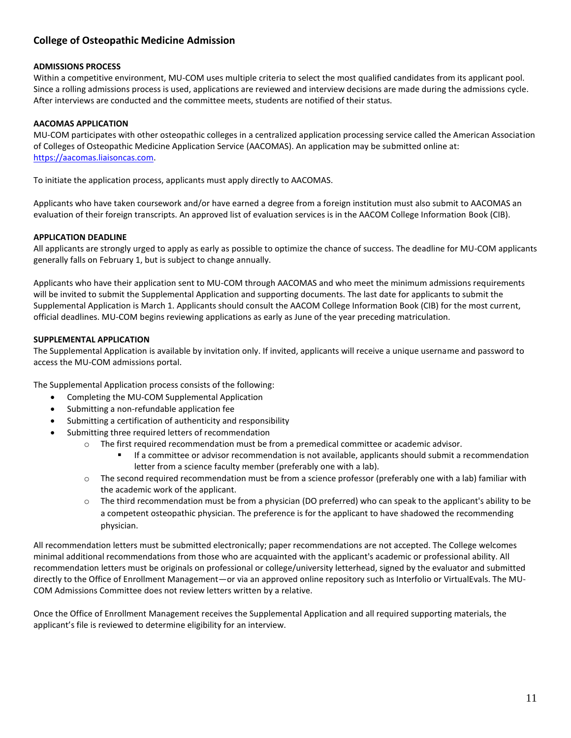## <span id="page-10-0"></span>**College of Osteopathic Medicine Admission**

#### **ADMISSIONS PROCESS**

Within a competitive environment, MU-COM uses multiple criteria to select the most qualified candidates from its applicant pool. Since a rolling admissions process is used, applications are reviewed and interview decisions are made during the admissions cycle. After interviews are conducted and the committee meets, students are notified of their status.

#### **AACOMAS APPLICATION**

MU-COM participates with other osteopathic colleges in a centralized application processing service called the American Association of Colleges of Osteopathic Medicine Application Service (AACOMAS). An application may be submitted online at: [https://aacomas.liaisoncas.com.](https://aacomas.liaisoncas.com/)

To initiate the application process, applicants must apply directly to AACOMAS.

Applicants who have taken coursework and/or have earned a degree from a foreign institution must also submit to AACOMAS an evaluation of their foreign transcripts. An approved list of evaluation services is in the AACOM College Information Book (CIB).

#### **APPLICATION DEADLINE**

All applicants are strongly urged to apply as early as possible to optimize the chance of success. The deadline for MU-COM applicants generally falls on February 1, but is subject to change annually.

Applicants who have their application sent to MU-COM through AACOMAS and who meet the minimum admissions requirements will be invited to submit the Supplemental Application and supporting documents. The last date for applicants to submit the Supplemental Application is March 1. Applicants should consult the AACOM College Information Book (CIB) for the most current, official deadlines. MU-COM begins reviewing applications as early as June of the year preceding matriculation.

#### **SUPPLEMENTAL APPLICATION**

The Supplemental Application is available by invitation only. If invited, applicants will receive a unique username and password to access the MU-COM admissions portal.

The Supplemental Application process consists of the following:

- Completing the MU-COM Supplemental Application
- Submitting a non-refundable application fee
- Submitting a certification of authenticity and responsibility
- Submitting three required letters of recommendation
	- $\circ$  The first required recommendation must be from a premedical committee or academic advisor.
		- If a committee or advisor recommendation is not available, applicants should submit a recommendation letter from a science faculty member (preferably one with a lab).
	- $\circ$  The second required recommendation must be from a science professor (preferably one with a lab) familiar with the academic work of the applicant.
	- o The third recommendation must be from a physician (DO preferred) who can speak to the applicant's ability to be a competent osteopathic physician. The preference is for the applicant to have shadowed the recommending physician.

All recommendation letters must be submitted electronically; paper recommendations are not accepted. The College welcomes minimal additional recommendations from those who are acquainted with the applicant's academic or professional ability. All recommendation letters must be originals on professional or college/university letterhead, signed by the evaluator and submitted directly to the Office of Enrollment Management—or via an approved online repository such as Interfolio or VirtualEvals. The MU-COM Admissions Committee does not review letters written by a relative.

Once the Office of Enrollment Management receives the Supplemental Application and all required supporting materials, the applicant's file is reviewed to determine eligibility for an interview.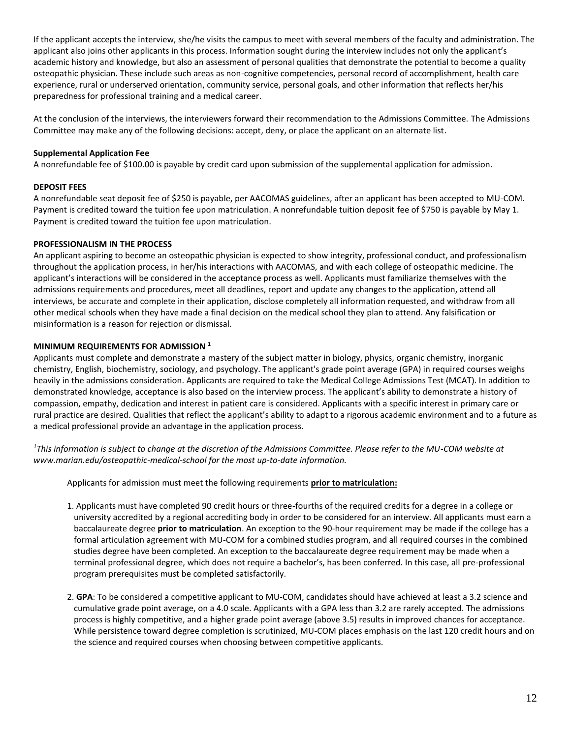If the applicant accepts the interview, she/he visits the campus to meet with several members of the faculty and administration. The applicant also joins other applicants in this process. Information sought during the interview includes not only the applicant's academic history and knowledge, but also an assessment of personal qualities that demonstrate the potential to become a quality osteopathic physician. These include such areas as non-cognitive competencies, personal record of accomplishment, health care experience, rural or underserved orientation, community service, personal goals, and other information that reflects her/his preparedness for professional training and a medical career.

At the conclusion of the interviews, the interviewers forward their recommendation to the Admissions Committee. The Admissions Committee may make any of the following decisions: accept, deny, or place the applicant on an alternate list.

#### **Supplemental Application Fee**

A nonrefundable fee of \$100.00 is payable by credit card upon submission of the supplemental application for admission.

#### **DEPOSIT FEES**

A nonrefundable seat deposit fee of \$250 is payable, per AACOMAS guidelines, after an applicant has been accepted to MU-COM. Payment is credited toward the tuition fee upon matriculation. A nonrefundable tuition deposit fee of \$750 is payable by May 1. Payment is credited toward the tuition fee upon matriculation.

#### **PROFESSIONALISM IN THE PROCESS**

An applicant aspiring to become an osteopathic physician is expected to show integrity, professional conduct, and professionalism throughout the application process, in her/his interactions with AACOMAS, and with each college of osteopathic medicine. The applicant's interactions will be considered in the acceptance process as well. Applicants must familiarize themselves with the admissions requirements and procedures, meet all deadlines, report and update any changes to the application, attend all interviews, be accurate and complete in their application, disclose completely all information requested, and withdraw from all other medical schools when they have made a final decision on the medical school they plan to attend. Any falsification or misinformation is a reason for rejection or dismissal.

#### **MINIMUM REQUIREMENTS FOR ADMISSION <sup>1</sup>**

Applicants must complete and demonstrate a mastery of the subject matter in biology, physics, organic chemistry, inorganic chemistry, English, biochemistry, sociology, and psychology. The applicant's grade point average (GPA) in required courses weighs heavily in the admissions consideration. Applicants are required to take the Medical College Admissions Test (MCAT). In addition to demonstrated knowledge, acceptance is also based on the interview process. The applicant's ability to demonstrate a history of compassion, empathy, dedication and interest in patient care is considered. Applicants with a specific interest in primary care or rural practice are desired. Qualities that reflect the applicant's ability to adapt to a rigorous academic environment and to a future as a medical professional provide an advantage in the application process.

*<sup>1</sup>This information is subject to change at the discretion of the Admissions Committee. Please refer to the MU-COM website at www.marian.edu/osteopathic-medical-school for the most up-to-date information.* 

Applicants for admission must meet the following requirements **prior to matriculation:**

- 1. Applicants must have completed 90 credit hours or three-fourths of the required credits for a degree in a college or university accredited by a regional accrediting body in order to be considered for an interview. All applicants must earn a baccalaureate degree **prior to matriculation**. An exception to the 90-hour requirement may be made if the college has a formal articulation agreement with MU-COM for a combined studies program, and all required courses in the combined studies degree have been completed. An exception to the baccalaureate degree requirement may be made when a terminal professional degree, which does not require a bachelor's, has been conferred. In this case, all pre-professional program prerequisites must be completed satisfactorily.
- 2. **GPA**: To be considered a competitive applicant to MU-COM, candidates should have achieved at least a 3.2 science and cumulative grade point average, on a 4.0 scale. Applicants with a GPA less than 3.2 are rarely accepted. The admissions process is highly competitive, and a higher grade point average (above 3.5) results in improved chances for acceptance. While persistence toward degree completion is scrutinized, MU-COM places emphasis on the last 120 credit hours and on the science and required courses when choosing between competitive applicants.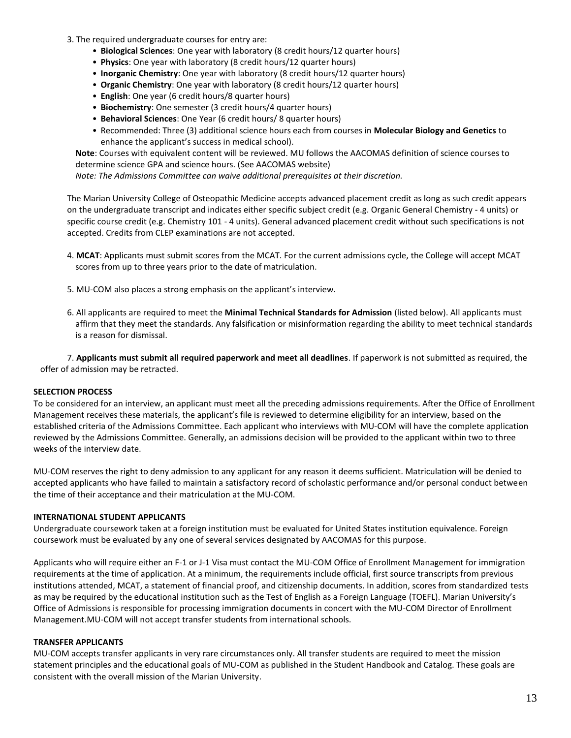- 3. The required undergraduate courses for entry are:
	- **Biological Sciences**: One year with laboratory (8 credit hours/12 quarter hours)
	- **Physics**: One year with laboratory (8 credit hours/12 quarter hours)
	- **Inorganic Chemistry**: One year with laboratory (8 credit hours/12 quarter hours)
	- **Organic Chemistry**: One year with laboratory (8 credit hours/12 quarter hours)
	- **English**: One year (6 credit hours/8 quarter hours)
	- **Biochemistry**: One semester (3 credit hours/4 quarter hours)
	- **Behavioral Sciences**: One Year (6 credit hours/ 8 quarter hours)
	- Recommended: Three (3) additional science hours each from courses in **Molecular Biology and Genetics** to enhance the applicant's success in medical school).

**Note**: Courses with equivalent content will be reviewed. MU follows the AACOMAS definition of science courses to determine science GPA and science hours. (See AACOMAS website)

*Note: The Admissions Committee can waive additional prerequisites at their discretion.*

The Marian University College of Osteopathic Medicine accepts advanced placement credit as long as such credit appears on the undergraduate transcript and indicates either specific subject credit (e.g. Organic General Chemistry - 4 units) or specific course credit (e.g. Chemistry 101 - 4 units). General advanced placement credit without such specifications is not accepted. Credits from CLEP examinations are not accepted.

- 4. **MCAT**: Applicants must submit scores from the MCAT. For the current admissions cycle, the College will accept MCAT scores from up to three years prior to the date of matriculation.
- 5. MU-COM also places a strong emphasis on the applicant's interview.
- 6. All applicants are required to meet the **Minimal Technical Standards for Admission** (listed below). All applicants must affirm that they meet the standards. Any falsification or misinformation regarding the ability to meet technical standards is a reason for dismissal.

7. **Applicants must submit all required paperwork and meet all deadlines**. If paperwork is not submitted as required, the offer of admission may be retracted.

#### **SELECTION PROCESS**

To be considered for an interview, an applicant must meet all the preceding admissions requirements. After the Office of Enrollment Management receives these materials, the applicant's file is reviewed to determine eligibility for an interview, based on the established criteria of the Admissions Committee. Each applicant who interviews with MU-COM will have the complete application reviewed by the Admissions Committee. Generally, an admissions decision will be provided to the applicant within two to three weeks of the interview date.

MU-COM reserves the right to deny admission to any applicant for any reason it deems sufficient. Matriculation will be denied to accepted applicants who have failed to maintain a satisfactory record of scholastic performance and/or personal conduct between the time of their acceptance and their matriculation at the MU-COM.

#### **INTERNATIONAL STUDENT APPLICANTS**

Undergraduate coursework taken at a foreign institution must be evaluated for United States institution equivalence. Foreign coursework must be evaluated by any one of several services designated by AACOMAS for this purpose.

Applicants who will require either an F-1 or J-1 Visa must contact the MU-COM Office of Enrollment Management for immigration requirements at the time of application. At a minimum, the requirements include official, first source transcripts from previous institutions attended, MCAT, a statement of financial proof, and citizenship documents. In addition, scores from standardized tests as may be required by the educational institution such as the Test of English as a Foreign Language (TOEFL). Marian University's Office of Admissions is responsible for processing immigration documents in concert with the MU-COM Director of Enrollment Management.MU-COM will not accept transfer students from international schools.

#### **TRANSFER APPLICANTS**

MU-COM accepts transfer applicants in very rare circumstances only. All transfer students are required to meet the mission statement principles and the educational goals of MU-COM as published in the Student Handbook and Catalog. These goals are consistent with the overall mission of the Marian University.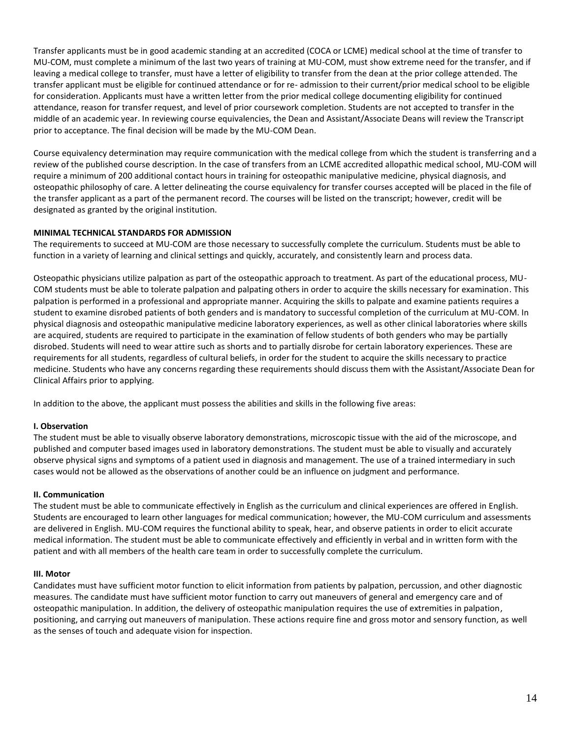Transfer applicants must be in good academic standing at an accredited (COCA or LCME) medical school at the time of transfer to MU-COM, must complete a minimum of the last two years of training at MU-COM, must show extreme need for the transfer, and if leaving a medical college to transfer, must have a letter of eligibility to transfer from the dean at the prior college attended. The transfer applicant must be eligible for continued attendance or for re- admission to their current/prior medical school to be eligible for consideration. Applicants must have a written letter from the prior medical college documenting eligibility for continued attendance, reason for transfer request, and level of prior coursework completion. Students are not accepted to transfer in the middle of an academic year. In reviewing course equivalencies, the Dean and Assistant/Associate Deans will review the Transcript prior to acceptance. The final decision will be made by the MU-COM Dean.

Course equivalency determination may require communication with the medical college from which the student is transferring and a review of the published course description. In the case of transfers from an LCME accredited allopathic medical school, MU-COM will require a minimum of 200 additional contact hours in training for osteopathic manipulative medicine, physical diagnosis, and osteopathic philosophy of care. A letter delineating the course equivalency for transfer courses accepted will be placed in the file of the transfer applicant as a part of the permanent record. The courses will be listed on the transcript; however, credit will be designated as granted by the original institution.

#### **MINIMAL TECHNICAL STANDARDS FOR ADMISSION**

The requirements to succeed at MU-COM are those necessary to successfully complete the curriculum. Students must be able to function in a variety of learning and clinical settings and quickly, accurately, and consistently learn and process data.

Osteopathic physicians utilize palpation as part of the osteopathic approach to treatment. As part of the educational process, MU-COM students must be able to tolerate palpation and palpating others in order to acquire the skills necessary for examination. This palpation is performed in a professional and appropriate manner. Acquiring the skills to palpate and examine patients requires a student to examine disrobed patients of both genders and is mandatory to successful completion of the curriculum at MU-COM. In physical diagnosis and osteopathic manipulative medicine laboratory experiences, as well as other clinical laboratories where skills are acquired, students are required to participate in the examination of fellow students of both genders who may be partially disrobed. Students will need to wear attire such as shorts and to partially disrobe for certain laboratory experiences. These are requirements for all students, regardless of cultural beliefs, in order for the student to acquire the skills necessary to practice medicine. Students who have any concerns regarding these requirements should discuss them with the Assistant/Associate Dean for Clinical Affairs prior to applying.

In addition to the above, the applicant must possess the abilities and skills in the following five areas:

#### **I. Observation**

The student must be able to visually observe laboratory demonstrations, microscopic tissue with the aid of the microscope, and published and computer based images used in laboratory demonstrations. The student must be able to visually and accurately observe physical signs and symptoms of a patient used in diagnosis and management. The use of a trained intermediary in such cases would not be allowed as the observations of another could be an influence on judgment and performance.

#### **II. Communication**

The student must be able to communicate effectively in English as the curriculum and clinical experiences are offered in English. Students are encouraged to learn other languages for medical communication; however, the MU-COM curriculum and assessments are delivered in English. MU-COM requires the functional ability to speak, hear, and observe patients in order to elicit accurate medical information. The student must be able to communicate effectively and efficiently in verbal and in written form with the patient and with all members of the health care team in order to successfully complete the curriculum.

#### **III. Motor**

Candidates must have sufficient motor function to elicit information from patients by palpation, percussion, and other diagnostic measures. The candidate must have sufficient motor function to carry out maneuvers of general and emergency care and of osteopathic manipulation. In addition, the delivery of osteopathic manipulation requires the use of extremities in palpation, positioning, and carrying out maneuvers of manipulation. These actions require fine and gross motor and sensory function, as well as the senses of touch and adequate vision for inspection.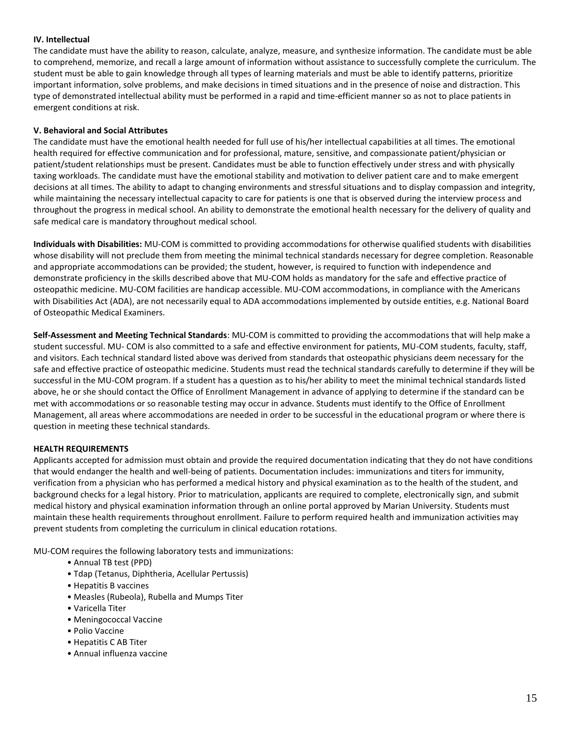#### **IV. Intellectual**

The candidate must have the ability to reason, calculate, analyze, measure, and synthesize information. The candidate must be able to comprehend, memorize, and recall a large amount of information without assistance to successfully complete the curriculum. The student must be able to gain knowledge through all types of learning materials and must be able to identify patterns, prioritize important information, solve problems, and make decisions in timed situations and in the presence of noise and distraction. This type of demonstrated intellectual ability must be performed in a rapid and time-efficient manner so as not to place patients in emergent conditions at risk.

#### **V. Behavioral and Social Attributes**

The candidate must have the emotional health needed for full use of his/her intellectual capabilities at all times. The emotional health required for effective communication and for professional, mature, sensitive, and compassionate patient/physician or patient/student relationships must be present. Candidates must be able to function effectively under stress and with physically taxing workloads. The candidate must have the emotional stability and motivation to deliver patient care and to make emergent decisions at all times. The ability to adapt to changing environments and stressful situations and to display compassion and integrity, while maintaining the necessary intellectual capacity to care for patients is one that is observed during the interview process and throughout the progress in medical school. An ability to demonstrate the emotional health necessary for the delivery of quality and safe medical care is mandatory throughout medical school.

**Individuals with Disabilities:** MU-COM is committed to providing accommodations for otherwise qualified students with disabilities whose disability will not preclude them from meeting the minimal technical standards necessary for degree completion. Reasonable and appropriate accommodations can be provided; the student, however, is required to function with independence and demonstrate proficiency in the skills described above that MU-COM holds as mandatory for the safe and effective practice of osteopathic medicine. MU-COM facilities are handicap accessible. MU-COM accommodations, in compliance with the Americans with Disabilities Act (ADA), are not necessarily equal to ADA accommodations implemented by outside entities, e.g. National Board of Osteopathic Medical Examiners.

**Self-Assessment and Meeting Technical Standards**: MU-COM is committed to providing the accommodations that will help make a student successful. MU- COM is also committed to a safe and effective environment for patients, MU-COM students, faculty, staff, and visitors. Each technical standard listed above was derived from standards that osteopathic physicians deem necessary for the safe and effective practice of osteopathic medicine. Students must read the technical standards carefully to determine if they will be successful in the MU-COM program. If a student has a question as to his/her ability to meet the minimal technical standards listed above, he or she should contact the Office of Enrollment Management in advance of applying to determine if the standard can be met with accommodations or so reasonable testing may occur in advance. Students must identify to the Office of Enrollment Management, all areas where accommodations are needed in order to be successful in the educational program or where there is question in meeting these technical standards.

#### **HEALTH REQUIREMENTS**

Applicants accepted for admission must obtain and provide the required documentation indicating that they do not have conditions that would endanger the health and well-being of patients. Documentation includes: immunizations and titers for immunity, verification from a physician who has performed a medical history and physical examination as to the health of the student, and background checks for a legal history. Prior to matriculation, applicants are required to complete, electronically sign, and submit medical history and physical examination information through an online portal approved by Marian University. Students must maintain these health requirements throughout enrollment. Failure to perform required health and immunization activities may prevent students from completing the curriculum in clinical education rotations.

MU-COM requires the following laboratory tests and immunizations:

- Annual TB test (PPD)
- Tdap (Tetanus, Diphtheria, Acellular Pertussis)
- Hepatitis B vaccines
- Measles (Rubeola), Rubella and Mumps Titer
- Varicella Titer
- Meningococcal Vaccine
- Polio Vaccine
- Hepatitis C AB Titer
- Annual influenza vaccine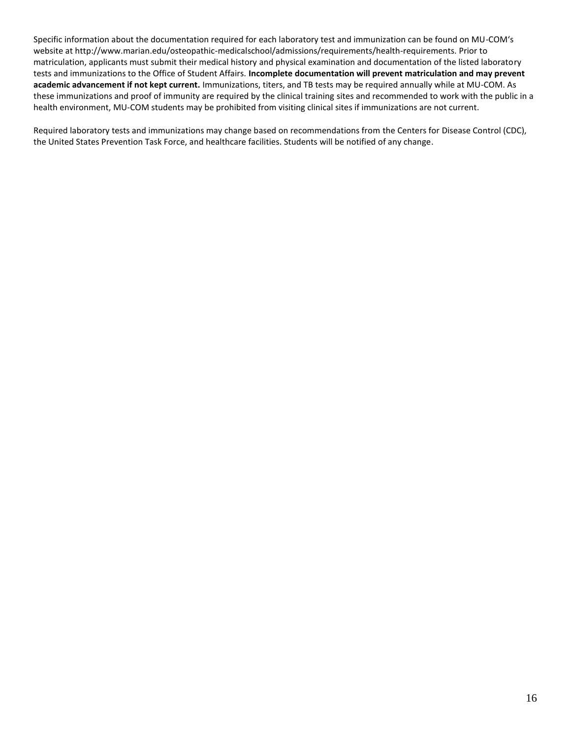Specific information about the documentation required for each laboratory test and immunization can be found on MU-COM's website at http://www.marian.edu/osteopathic-medicalschool/admissions/requirements/health-requirements. Prior to matriculation, applicants must submit their medical history and physical examination and documentation of the listed laboratory tests and immunizations to the Office of Student Affairs. **Incomplete documentation will prevent matriculation and may prevent academic advancement if not kept current.** Immunizations, titers, and TB tests may be required annually while at MU-COM. As these immunizations and proof of immunity are required by the clinical training sites and recommended to work with the public in a health environment, MU-COM students may be prohibited from visiting clinical sites if immunizations are not current.

Required laboratory tests and immunizations may change based on recommendations from the Centers for Disease Control (CDC), the United States Prevention Task Force, and healthcare facilities. Students will be notified of any change.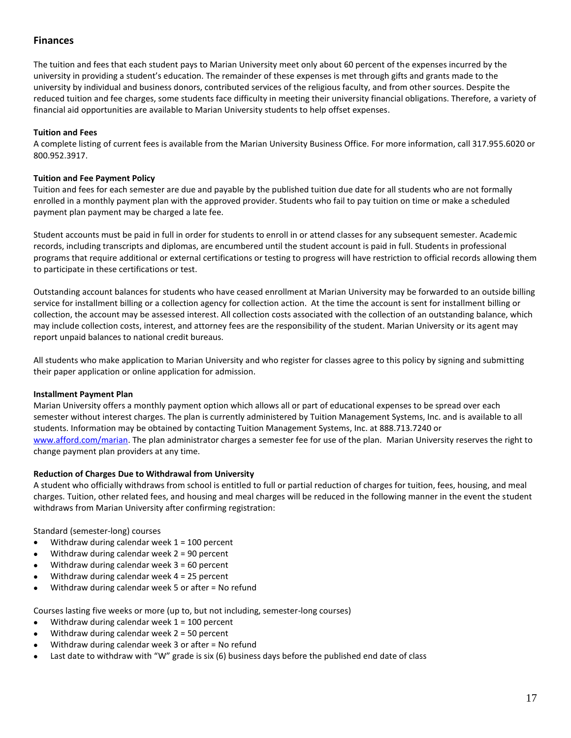## <span id="page-16-0"></span>**Finances**

The tuition and fees that each student pays to Marian University meet only about 60 percent of the expenses incurred by the university in providing a student's education. The remainder of these expenses is met through gifts and grants made to the university by individual and business donors, contributed services of the religious faculty, and from other sources. Despite the reduced tuition and fee charges, some students face difficulty in meeting their university financial obligations. Therefore, a variety of financial aid opportunities are available to Marian University students to help offset expenses.

### <span id="page-16-3"></span>**Tuition and Fees**

A complete listing of current fees is available from the Marian University Business Office. For more information, call 317.955.6020 or 800.952.3917.

#### **Tuition and Fee Payment Policy**

Tuition and fees for each semester are due and payable by the published tuition due date for all students who are not formally enrolled in a monthly payment plan with the approved provider. Students who fail to pay tuition on time or make a scheduled payment plan payment may be charged a late fee.

Student accounts must be paid in full in order for students to enroll in or attend classes for any subsequent semester. Academic records, including transcripts and diplomas, are encumbered until the student account is paid in full. Students in professional programs that require additional or external certifications or testing to progress will have restriction to official records allowing them to participate in these certifications or test.

Outstanding account balances for students who have ceased enrollment at Marian University may be forwarded to an outside billing service for installment billing or a collection agency for collection action. At the time the account is sent for installment billing or collection, the account may be assessed interest. All collection costs associated with the collection of an outstanding balance, which may include collection costs, interest, and attorney fees are the responsibility of the student. Marian University or its agent may report unpaid balances to national credit bureaus.

All students who make application to Marian University and who register for classes agree to this policy by signing and submitting their paper application or online application for admission.

#### <span id="page-16-1"></span>**Installment Payment Plan**

Marian University offers a monthly payment option which allows all or part of educational expenses to be spread over each semester without interest charges. The plan is currently administered by Tuition Management Systems, Inc. and is available to all students. Information may be obtained by contacting Tuition Management Systems, Inc. at 888.713.7240 or [www.afford.com/marian.](http://www.afford.com/marian) The plan administrator charges a semester fee for use of the plan. Marian University reserves the right to change payment plan providers at any time.

#### <span id="page-16-2"></span>**Reduction of Charges Due to Withdrawal from University**

A student who officially withdraws from school is entitled to full or partial reduction of charges for tuition, fees, housing, and meal charges. Tuition, other related fees, and housing and meal charges will be reduced in the following manner in the event the student withdraws from Marian University after confirming registration:

Standard (semester-long) courses

- $\bullet$  Withdraw during calendar week  $1 = 100$  percent
- Withdraw during calendar week 2 = 90 percent
- Withdraw during calendar week 3 = 60 percent
- $\bullet$  Withdraw during calendar week 4 = 25 percent
- Withdraw during calendar week 5 or after = No refund

Courses lasting five weeks or more (up to, but not including, semester-long courses)

- $\bullet$  Withdraw during calendar week 1 = 100 percent
- $\bullet$  Withdraw during calendar week 2 = 50 percent
- Withdraw during calendar week 3 or after = No refund
- Last date to withdraw with "W" grade is six (6) business days before the published end date of class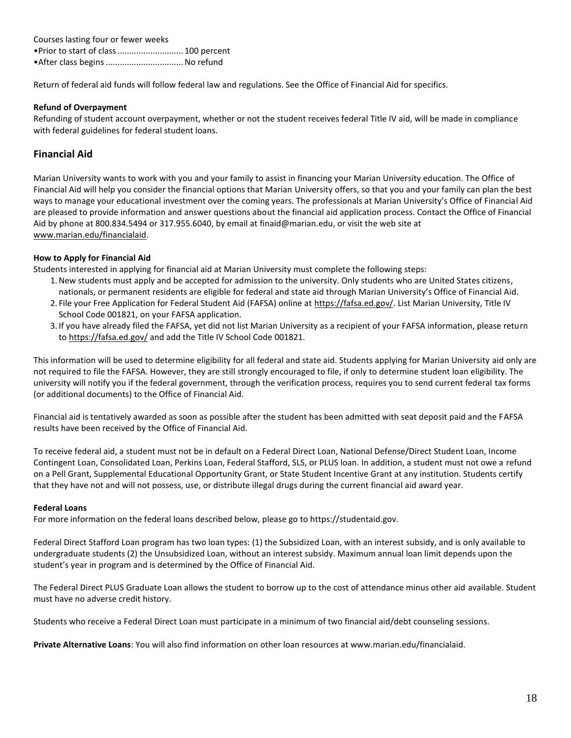| Courses lasting four or fewer weeks    |  |
|----------------------------------------|--|
| • Prior to start of class  100 percent |  |
| • After class begins  No refund        |  |

Return of federal aid funds will follow federal law and regulations. See the Office of Financial Aid for specifics.

#### <span id="page-17-2"></span>**Refund of Overpayment**

Refunding of student account overpayment, whether or not the student receives federal Title IV aid, will be made in compliance with federal guidelines for federal student loans.

## <span id="page-17-0"></span>**Financial Aid**

<span id="page-17-1"></span>Marian University wants to work with you and your family to assist in financing your Marian University education. The Office of Financial Aid will help you consider the financial options that Marian University offers, so that you and your family can plan the best ways to manage your educational investment over the coming years. The professionals at Marian University's Office of Financial Aid are pleased to provide information and answer questions about the financial aid application process. Contact the Office of Financial Aid by phone at 800.834.5494 or 317.955.6040, by email at finaid@marian.edu, or visit the web site at [www.marian.edu/financialaid.](http://www.marian.edu/financialaid)

#### **How to Apply for Financial Aid**

Students interested in applying for financial aid at Marian University must complete the following steps:

- 1.New students must apply and be accepted for admission to the university. Only students who are United States citizens, nationals, or permanent residents are eligible for federal and state aid through Marian University's Office of Financial Aid.
- 2. File your Free Application for Federal Student Aid (FAFSA) online at [https://fafsa.ed.gov/.](https://fafsa.ed.gov/) List Marian University, Title IV School Code 001821, on your FAFSA application.
- 3. If you have already filed the FAFSA, yet did not list Marian University as a recipient of your FAFSA information, please return to<https://fafsa.ed.gov/> and add the Title IV School Code 001821.

This information will be used to determine eligibility for all federal and state aid. Students applying for Marian University aid only are not required to file the FAFSA. However, they are still strongly encouraged to file, if only to determine student loan eligibility. The university will notify you if the federal government, through the verification process, requires you to send current federal tax forms (or additional documents) to the Office of Financial Aid.

Financial aid is tentatively awarded as soon as possible after the student has been admitted with seat deposit paid and the FAFSA results have been received by the Office of Financial Aid.

To receive federal aid, a student must not be in default on a Federal Direct Loan, National Defense/Direct Student Loan, Income Contingent Loan, Consolidated Loan, Perkins Loan, Federal Stafford, SLS, or PLUS loan. In addition, a student must not owe a refund on a Pell Grant, Supplemental Educational Opportunity Grant, or State Student Incentive Grant at any institution. Students certify that they have not and will not possess, use, or distribute illegal drugs during the current financial aid award year.

#### **Federal Loans**

For more information on the federal loans described below, please go to https://studentaid.gov.

Federal Direct Stafford Loan program has two loan types: (1) the Subsidized Loan, with an interest subsidy, and is only available to undergraduate students (2) the Unsubsidized Loan, without an interest subsidy. Maximum annual loan limit depends upon the student's year in program and is determined by the Office of Financial Aid.

The Federal Direct PLUS Graduate Loan allows the student to borrow up to the cost of attendance minus other aid available. Student must have no adverse credit history.

Students who receive a Federal Direct Loan must participate in a minimum of two financial aid/debt counseling sessions.

**Private Alternative Loans**: You will also find information on other loan resources at www.marian.edu/financialaid.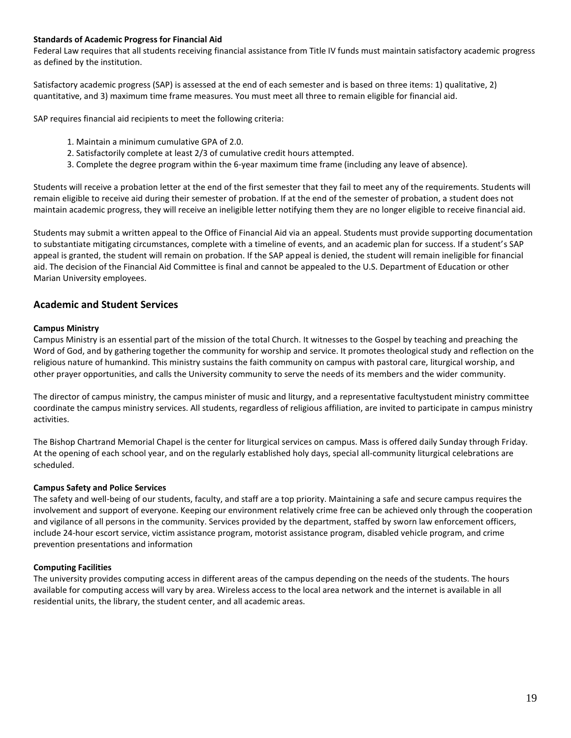#### **Standards of Academic Progress for Financial Aid**

Federal Law requires that all students receiving financial assistance from Title IV funds must maintain satisfactory academic progress as defined by the institution.

Satisfactory academic progress (SAP) is assessed at the end of each semester and is based on three items: 1) qualitative, 2) quantitative, and 3) maximum time frame measures. You must meet all three to remain eligible for financial aid.

SAP requires financial aid recipients to meet the following criteria:

- 1. Maintain a minimum cumulative GPA of 2.0.
- 2. Satisfactorily complete at least 2/3 of cumulative credit hours attempted.
- 3. Complete the degree program within the 6-year maximum time frame (including any leave of absence).

Students will receive a probation letter at the end of the first semester that they fail to meet any of the requirements. Students will remain eligible to receive aid during their semester of probation. If at the end of the semester of probation, a student does not maintain academic progress, they will receive an ineligible letter notifying them they are no longer eligible to receive financial aid.

Students may submit a written appeal to the Office of Financial Aid via an appeal. Students must provide supporting documentation to substantiate mitigating circumstances, complete with a timeline of events, and an academic plan for success. If a student's SAP appeal is granted, the student will remain on probation. If the SAP appeal is denied, the student will remain ineligible for financial aid. The decision of the Financial Aid Committee is final and cannot be appealed to the U.S. Department of Education or other Marian University employees.

#### <span id="page-18-0"></span>**Academic and Student Services**

#### <span id="page-18-1"></span>**Campus Ministry**

Campus Ministry is an essential part of the mission of the total Church. It witnesses to the Gospel by teaching and preaching the Word of God, and by gathering together the community for worship and service. It promotes theological study and reflection on the religious nature of humankind. This ministry sustains the faith community on campus with pastoral care, liturgical worship, and other prayer opportunities, and calls the University community to serve the needs of its members and the wider community.

The director of campus ministry, the campus minister of music and liturgy, and a representative facultystudent ministry committee coordinate the campus ministry services. All students, regardless of religious affiliation, are invited to participate in campus ministry activities.

The Bishop Chartrand Memorial Chapel is the center for liturgical services on campus. Mass is offered daily Sunday through Friday. At the opening of each school year, and on the regularly established holy days, special all-community liturgical celebrations are scheduled.

#### <span id="page-18-2"></span>**Campus Safety and Police Services**

The safety and well-being of our students, faculty, and staff are a top priority. Maintaining a safe and secure campus requires the involvement and support of everyone. Keeping our environment relatively crime free can be achieved only through the cooperation and vigilance of all persons in the community. Services provided by the department, staffed by sworn law enforcement officers, include 24-hour escort service, victim assistance program, motorist assistance program, disabled vehicle program, and crime prevention presentations and information

#### <span id="page-18-3"></span>**Computing Facilities**

The university provides computing access in different areas of the campus depending on the needs of the students. The hours available for computing access will vary by area. Wireless access to the local area network and the internet is available in all residential units, the library, the student center, and all academic areas.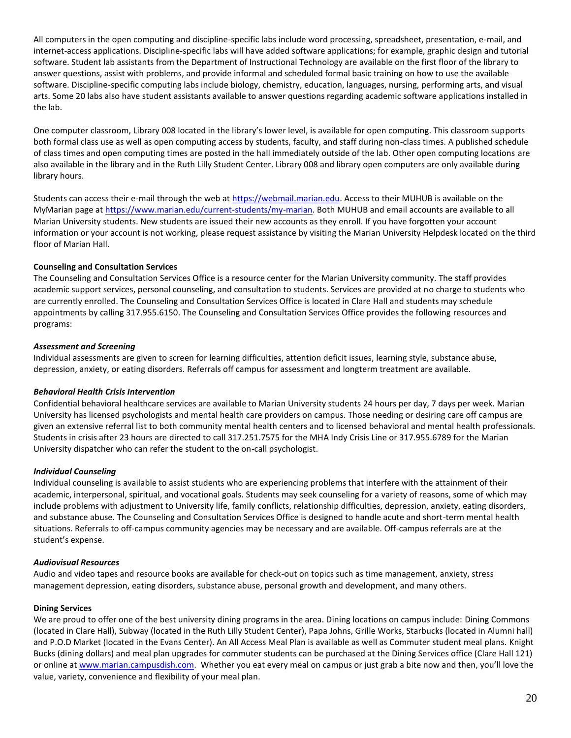All computers in the open computing and discipline-specific labs include word processing, spreadsheet, presentation, e-mail, and internet-access applications. Discipline-specific labs will have added software applications; for example, graphic design and tutorial software. Student lab assistants from the Department of Instructional Technology are available on the first floor of the library to answer questions, assist with problems, and provide informal and scheduled formal basic training on how to use the available software. Discipline-specific computing labs include biology, chemistry, education, languages, nursing, performing arts, and visual arts. Some 20 labs also have student assistants available to answer questions regarding academic software applications installed in the lab.

One computer classroom, Library 008 located in the library's lower level, is available for open computing. This classroom supports both formal class use as well as open computing access by students, faculty, and staff during non-class times. A published schedule of class times and open computing times are posted in the hall immediately outside of the lab. Other open computing locations are also available in the library and in the Ruth Lilly Student Center. Library 008 and library open computers are only available during library hours.

Students can access their e-mail through the web at [https://webmail.marian.edu.](https://webmail.marian.edu/) Access to their MUHUB is available on the MyMarian page at [https://www.marian.edu/current-students/my-marian.](https://www.marian.edu/current-students/my-marian) Both MUHUB and email accounts are available to all Marian University students. New students are issued their new accounts as they enroll. If you have forgotten your account information or your account is not working, please request assistance by visiting the Marian University Helpdesk located on the third floor of Marian Hall.

#### <span id="page-19-0"></span>**Counseling and Consultation Services**

The Counseling and Consultation Services Office is a resource center for the Marian University community. The staff provides academic support services, personal counseling, and consultation to students. Services are provided at no charge to students who are currently enrolled. The Counseling and Consultation Services Office is located in Clare Hall and students may schedule appointments by calling 317.955.6150. The Counseling and Consultation Services Office provides the following resources and programs:

#### *Assessment and Screening*

Individual assessments are given to screen for learning difficulties, attention deficit issues, learning style, substance abuse, depression, anxiety, or eating disorders. Referrals off campus for assessment and longterm treatment are available.

### *Behavioral Health Crisis Intervention*

Confidential behavioral healthcare services are available to Marian University students 24 hours per day, 7 days per week. Marian University has licensed psychologists and mental health care providers on campus. Those needing or desiring care off campus are given an extensive referral list to both community mental health centers and to licensed behavioral and mental health professionals. Students in crisis after 23 hours are directed to call 317.251.7575 for the MHA Indy Crisis Line or 317.955.6789 for the Marian University dispatcher who can refer the student to the on-call psychologist.

### *Individual Counseling*

Individual counseling is available to assist students who are experiencing problems that interfere with the attainment of their academic, interpersonal, spiritual, and vocational goals. Students may seek counseling for a variety of reasons, some of which may include problems with adjustment to University life, family conflicts, relationship difficulties, depression, anxiety, eating disorders, and substance abuse. The Counseling and Consultation Services Office is designed to handle acute and short-term mental health situations. Referrals to off-campus community agencies may be necessary and are available. Off-campus referrals are at the student's expense.

#### *Audiovisual Resources*

Audio and video tapes and resource books are available for check-out on topics such as time management, anxiety, stress management depression, eating disorders, substance abuse, personal growth and development, and many others.

#### <span id="page-19-1"></span>**Dining Services**

We are proud to offer one of the best university dining programs in the area. Dining locations on campus include: Dining Commons (located in Clare Hall), Subway (located in the Ruth Lilly Student Center), Papa Johns, Grille Works, Starbucks (located in Alumni hall) and P.O.D Market (located in the Evans Center). An All Access Meal Plan is available as well as Commuter student meal plans. Knight Bucks (dining dollars) and meal plan upgrades for commuter students can be purchased at the Dining Services office (Clare Hall 121) or online at [www.marian.campusdish.com.](http://www.marian.campusdish.com/) Whether you eat every meal on campus or just grab a bite now and then, you'll love the value, variety, convenience and flexibility of your meal plan.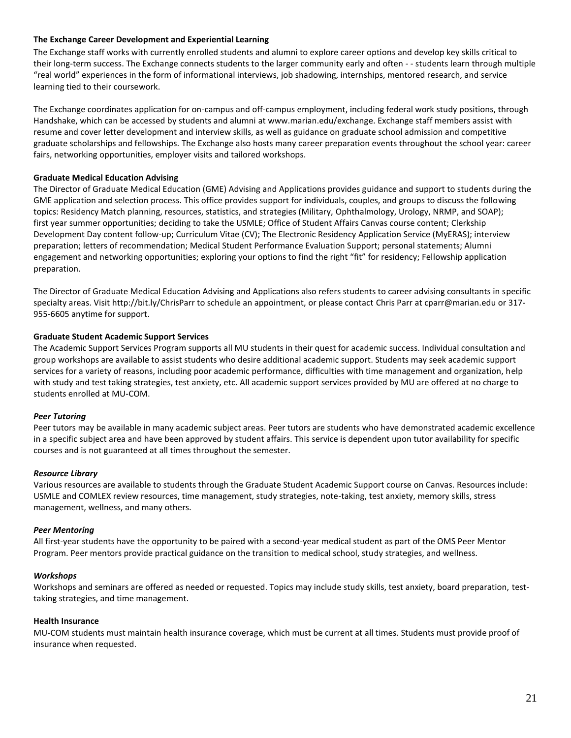#### <span id="page-20-0"></span>**The Exchange Career Development and Experiential Learning**

The Exchange staff works with currently enrolled students and alumni to explore career options and develop key skills critical to their long-term success. The Exchange connects students to the larger community early and often - - students learn through multiple "real world" experiences in the form of informational interviews, job shadowing, internships, mentored research, and service learning tied to their coursework.

The Exchange coordinates application for on-campus and off-campus employment, including federal work study positions, through Handshake, which can be accessed by students and alumni at www.marian.edu/exchange. Exchange staff members assist with resume and cover letter development and interview skills, as well as guidance on graduate school admission and competitive graduate scholarships and fellowships. The Exchange also hosts many career preparation events throughout the school year: career fairs, networking opportunities, employer visits and tailored workshops.

#### **Graduate Medical Education Advising**

The Director of Graduate Medical Education (GME) Advising and Applications provides guidance and support to students during the GME application and selection process. This office provides support for individuals, couples, and groups to discuss the following topics: Residency Match planning, resources, statistics, and strategies (Military, Ophthalmology, Urology, NRMP, and SOAP); first year summer opportunities; deciding to take the USMLE; Office of Student Affairs Canvas course content; Clerkship Development Day content follow-up; Curriculum Vitae (CV); The Electronic Residency Application Service (MyERAS); interview preparation; letters of recommendation; Medical Student Performance Evaluation Support; personal statements; Alumni engagement and networking opportunities; exploring your options to find the right "fit" for residency; Fellowship application preparation.

The Director of Graduate Medical Education Advising and Applications also refers students to career advising consultants in specific specialty areas. Visit http://bit.ly/ChrisParr to schedule an appointment, or please contact Chris Parr at cparr@marian.edu or 317- 955-6605 anytime for support.

#### **Graduate Student Academic Support Services**

The Academic Support Services Program supports all MU students in their quest for academic success. Individual consultation and group workshops are available to assist students who desire additional academic support. Students may seek academic support services for a variety of reasons, including poor academic performance, difficulties with time management and organization, help with study and test taking strategies, test anxiety, etc. All academic support services provided by MU are offered at no charge to students enrolled at MU-COM.

#### *Peer Tutoring*

Peer tutors may be available in many academic subject areas. Peer tutors are students who have demonstrated academic excellence in a specific subject area and have been approved by student affairs. This service is dependent upon tutor availability for specific courses and is not guaranteed at all times throughout the semester.

#### *Resource Library*

Various resources are available to students through the Graduate Student Academic Support course on Canvas. Resources include: USMLE and COMLEX review resources, time management, study strategies, note-taking, test anxiety, memory skills, stress management, wellness, and many others.

#### *Peer Mentoring*

All first-year students have the opportunity to be paired with a second-year medical student as part of the OMS Peer Mentor Program. Peer mentors provide practical guidance on the transition to medical school, study strategies, and wellness.

#### *Workshops*

Workshops and seminars are offered as needed or requested. Topics may include study skills, test anxiety, board preparation, testtaking strategies, and time management.

#### <span id="page-20-1"></span>**Health Insurance**

<span id="page-20-2"></span>MU-COM students must maintain health insurance coverage, which must be current at all times. Students must provide proof of insurance when requested.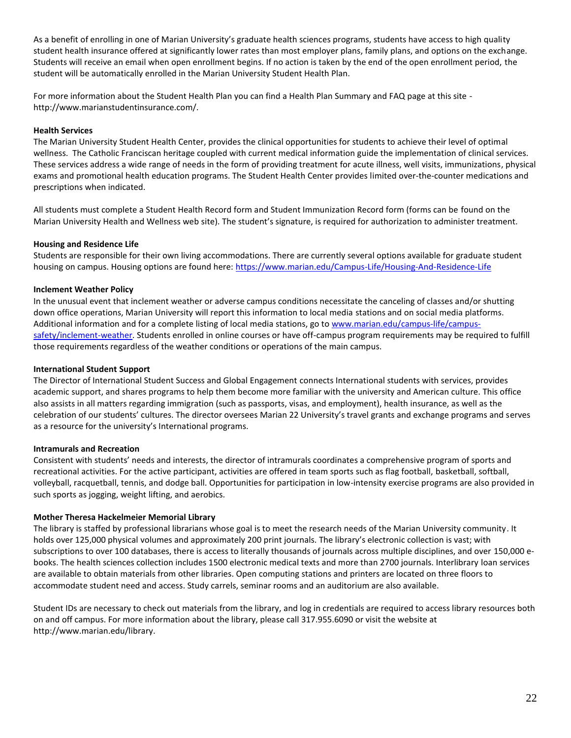As a benefit of enrolling in one of Marian University's graduate health sciences programs, students have access to high quality student health insurance offered at significantly lower rates than most employer plans, family plans, and options on the exchange. Students will receive an email when open enrollment begins. If no action is taken by the end of the open enrollment period, the student will be automatically enrolled in the Marian University Student Health Plan.

For more information about the Student Health Plan you can find a Health Plan Summary and FAQ page at this site http://www.marianstudentinsurance.com/.

#### **Health Services**

The Marian University Student Health Center, provides the clinical opportunities for students to achieve their level of optimal wellness. The Catholic Franciscan heritage coupled with current medical information guide the implementation of clinical services. These services address a wide range of needs in the form of providing treatment for acute illness, well visits, immunizations, physical exams and promotional health education programs. The Student Health Center provides limited over-the-counter medications and prescriptions when indicated.

All students must complete a Student Health Record form and Student Immunization Record form (forms can be found on the Marian University Health and Wellness web site). The student's signature, is required for authorization to administer treatment.

#### <span id="page-21-0"></span>**Housing and Residence Life**

Students are responsible for their own living accommodations. There are currently several options available for graduate student housing on campus. Housing options are found here[: https://www.marian.edu/Campus-Life/Housing-And-Residence-Life](https://www.marian.edu/Campus-Life/Housing-And-Residence-Life)

#### <span id="page-21-1"></span>**Inclement Weather Policy**

In the unusual event that inclement weather or adverse campus conditions necessitate the canceling of classes and/or shutting down office operations, Marian University will report this information to local media stations and on social media platforms. Additional information and for a complete listing of local media stations, go to [www.marian.edu/campus-life/campus](http://www.marian.edu/campus-life/campus-safety/inclement-weather)[safety/inclement-weather.](http://www.marian.edu/campus-life/campus-safety/inclement-weather) Students enrolled in online courses or have off-campus program requirements may be required to fulfill those requirements regardless of the weather conditions or operations of the main campus.

#### <span id="page-21-2"></span>**International Student Support**

The Director of International Student Success and Global Engagement connects International students with services, provides academic support, and shares programs to help them become more familiar with the university and American culture. This office also assists in all matters regarding immigration (such as passports, visas, and employment), health insurance, as well as the celebration of our students' cultures. The director oversees Marian 22 University's travel grants and exchange programs and serves as a resource for the university's International programs.

#### <span id="page-21-3"></span>**Intramurals and Recreation**

Consistent with students' needs and interests, the director of intramurals coordinates a comprehensive program of sports and recreational activities. For the active participant, activities are offered in team sports such as flag football, basketball, softball, volleyball, racquetball, tennis, and dodge ball. Opportunities for participation in low-intensity exercise programs are also provided in such sports as jogging, weight lifting, and aerobics.

#### **Mother Theresa Hackelmeier Memorial Library**

The library is staffed by professional librarians whose goal is to meet the research needs of the Marian University community. It holds over 125,000 physical volumes and approximately 200 print journals. The library's electronic collection is vast; with subscriptions to over 100 databases, there is access to literally thousands of journals across multiple disciplines, and over 150,000 ebooks. The health sciences collection includes 1500 electronic medical texts and more than 2700 journals. Interlibrary loan services are available to obtain materials from other libraries. Open computing stations and printers are located on three floors to accommodate student need and access. Study carrels, seminar rooms and an auditorium are also available.

Student IDs are necessary to check out materials from the library, and log in credentials are required to access library resources both on and off campus. For more information about the library, please call 317.955.6090 or visit the website at http://www.marian.edu/library.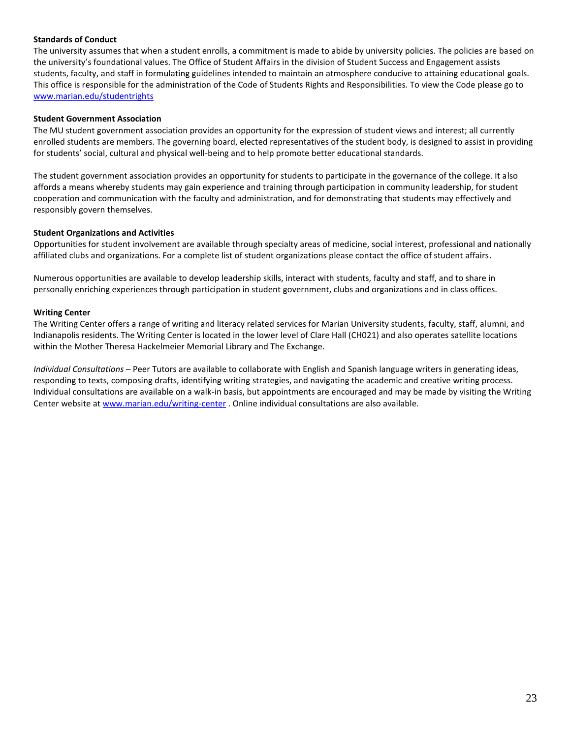#### **Standards of Conduct**

The university assumes that when a student enrolls, a commitment is made to abide by university policies. The policies are based on the university's foundational values. The Office of Student Affairs in the division of Student Success and Engagement assists students, faculty, and staff in formulating guidelines intended to maintain an atmosphere conducive to attaining educational goals. This office is responsible for the administration of the Code of Students Rights and Responsibilities. To view the Code please go to [www.marian.edu/studentrights](http://www.marian.edu/studentrights)

#### <span id="page-22-0"></span>**Student Government Association**

The MU student government association provides an opportunity for the expression of student views and interest; all currently enrolled students are members. The governing board, elected representatives of the student body, is designed to assist in providing for students' social, cultural and physical well-being and to help promote better educational standards.

The student government association provides an opportunity for students to participate in the governance of the college. It also affords a means whereby students may gain experience and training through participation in community leadership, for student cooperation and communication with the faculty and administration, and for demonstrating that students may effectively and responsibly govern themselves.

#### **Student Organizations and Activities**

<span id="page-22-1"></span>Opportunities for student involvement are available through specialty areas of medicine, social interest, professional and nationally affiliated clubs and organizations. For a complete list of student organizations please contact the office of student affairs.

Numerous opportunities are available to develop leadership skills, interact with students, faculty and staff, and to share in personally enriching experiences through participation in student government, clubs and organizations and in class offices.

#### **Writing Center**

The Writing Center offers a range of writing and literacy related services for Marian University students, faculty, staff, alumni, and Indianapolis residents. The Writing Center is located in the lower level of Clare Hall (CH021) and also operates satellite locations within the Mother Theresa Hackelmeier Memorial Library and The Exchange.

*Individual Consultations* – Peer Tutors are available to collaborate with English and Spanish language writers in generating ideas, responding to texts, composing drafts, identifying writing strategies, and navigating the academic and creative writing process. Individual consultations are available on a walk-in basis, but appointments are encouraged and may be made by visiting the Writing Center website at [www.marian.edu/writing-center](http://www.marian.edu/writing-center) . Online individual consultations are also available.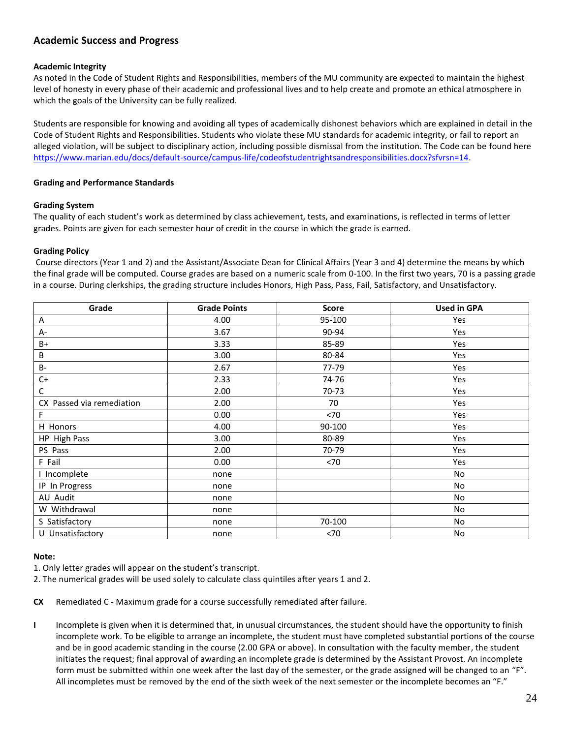## <span id="page-23-2"></span><span id="page-23-0"></span>**Academic Success and Progress**

#### <span id="page-23-1"></span>**Academic Integrity**

As noted in the Code of Student Rights and Responsibilities, members of the MU community are expected to maintain the highest level of honesty in every phase of their academic and professional lives and to help create and promote an ethical atmosphere in which the goals of the University can be fully realized.

Students are responsible for knowing and avoiding all types of academically dishonest behaviors which are explained in detail in the Code of Student Rights and Responsibilities. Students who violate these MU standards for academic integrity, or fail to report an alleged violation, will be subject to disciplinary action, including possible dismissal from the institution. The Code can be found here [https://www.marian.edu/docs/default-source/campus-life/codeofstudentrightsandresponsibilities.docx?sfvrsn=14.](https://www.marian.edu/docs/default-source/campus-life/codeofstudentrightsandresponsibilities.docx?sfvrsn=14)

#### <span id="page-23-3"></span>**Grading and Performance Standards**

#### **Grading System**

The quality of each student's work as determined by class achievement, tests, and examinations, is reflected in terms of letter grades. Points are given for each semester hour of credit in the course in which the grade is earned.

#### **Grading Policy**

Course directors (Year 1 and 2) and the Assistant/Associate Dean for Clinical Affairs (Year 3 and 4) determine the means by which the final grade will be computed. Course grades are based on a numeric scale from 0-100. In the first two years, 70 is a passing grade in a course. During clerkships, the grading structure includes Honors, High Pass, Pass, Fail, Satisfactory, and Unsatisfactory.

| Grade                     | <b>Grade Points</b> | <b>Score</b> | <b>Used in GPA</b> |
|---------------------------|---------------------|--------------|--------------------|
| Α                         | 4.00                | 95-100       | Yes                |
| A-                        | 3.67                | 90-94        | Yes                |
| $B+$                      | 3.33                | 85-89        | Yes                |
| B                         | 3.00                | 80-84        | Yes                |
| <b>B-</b>                 | 2.67                | 77-79        | Yes                |
| $C+$                      | 2.33                | 74-76        | Yes                |
| $\mathsf{C}$              | 2.00                | 70-73        | Yes                |
| CX Passed via remediation | 2.00                | 70           | Yes                |
| F                         | 0.00                | <70          | Yes                |
| H Honors                  | 4.00                | 90-100       | Yes                |
| HP High Pass              | 3.00                | 80-89        | Yes                |
| PS Pass                   | 2.00                | 70-79        | Yes                |
| F Fail                    | 0.00                | < 70         | Yes                |
| I Incomplete              | none                |              | No                 |
| IP In Progress            | none                |              | No                 |
| AU Audit                  | none                |              | No                 |
| W Withdrawal              | none                |              | No                 |
| S Satisfactory            | none                | 70-100       | No                 |
| U Unsatisfactory          | none                | < 70         | No                 |

#### **Note:**

1. Only letter grades will appear on the student's transcript.

2. The numerical grades will be used solely to calculate class quintiles after years 1 and 2.

**CX** Remediated C - Maximum grade for a course successfully remediated after failure.

<span id="page-23-4"></span>**I** Incomplete is given when it is determined that, in unusual circumstances, the student should have the opportunity to finish incomplete work. To be eligible to arrange an incomplete, the student must have completed substantial portions of the course and be in good academic standing in the course (2.00 GPA or above). In consultation with the faculty member, the student initiates the request; final approval of awarding an incomplete grade is determined by the Assistant Provost. An incomplete form must be submitted within one week after the last day of the semester, or the grade assigned will be changed to an "F". All incompletes must be removed by the end of the sixth week of the next semester or the incomplete becomes an "F."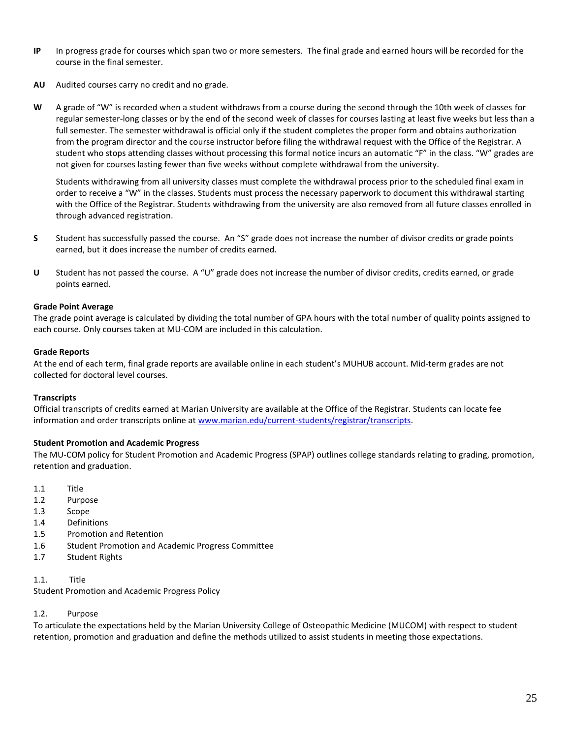- **IP** In progress grade for courses which span two or more semesters. The final grade and earned hours will be recorded for the course in the final semester.
- **AU** Audited courses carry no credit and no grade.
- **W** A grade of "W" is recorded when a student withdraws from a course during the second through the 10th week of classes for regular semester-long classes or by the end of the second week of classes for courses lasting at least five weeks but less than a full semester. The semester withdrawal is official only if the student completes the proper form and obtains authorization from the program director and the course instructor before filing the withdrawal request with the Office of the Registrar. A student who stops attending classes without processing this formal notice incurs an automatic "F" in the class. "W" grades are not given for courses lasting fewer than five weeks without complete withdrawal from the university.

Students withdrawing from all university classes must complete the withdrawal process prior to the scheduled final exam in order to receive a "W" in the classes. Students must process the necessary paperwork to document this withdrawal starting with the Office of the Registrar. Students withdrawing from the university are also removed from all future classes enrolled in through advanced registration.

- **S** Student has successfully passed the course. An "S" grade does not increase the number of divisor credits or grade points earned, but it does increase the number of credits earned.
- **U** Student has not passed the course. A "U" grade does not increase the number of divisor credits, credits earned, or grade points earned.

#### **Grade Point Average**

The grade point average is calculated by dividing the total number of GPA hours with the total number of quality points assigned to each course. Only courses taken at MU-COM are included in this calculation.

#### <span id="page-24-0"></span>**Grade Reports**

At the end of each term, final grade reports are available online in each student's MUHUB account. Mid-term grades are not collected for doctoral level courses.

#### <span id="page-24-1"></span>**Transcripts**

Official transcripts of credits earned at Marian University are available at the Office of the Registrar. Students can locate fee information and order transcripts online a[t www.marian.edu/current-students/registrar/transcripts.](http://www.marian.edu/current-students/registrar/transcripts)

#### **Student Promotion and Academic Progress**

The MU-COM policy for Student Promotion and Academic Progress (SPAP) outlines college standards relating to grading, promotion, retention and graduation.

- 1.1 Title
- 1.2 Purpose
- 1.3 Scope
- 1.4 Definitions
- 1.5 Promotion and Retention
- 1.6 Student Promotion and Academic Progress Committee
- 1.7 Student Rights
- 1.1. Title

Student Promotion and Academic Progress Policy

#### 1.2. Purpose

To articulate the expectations held by the Marian University College of Osteopathic Medicine (MUCOM) with respect to student retention, promotion and graduation and define the methods utilized to assist students in meeting those expectations.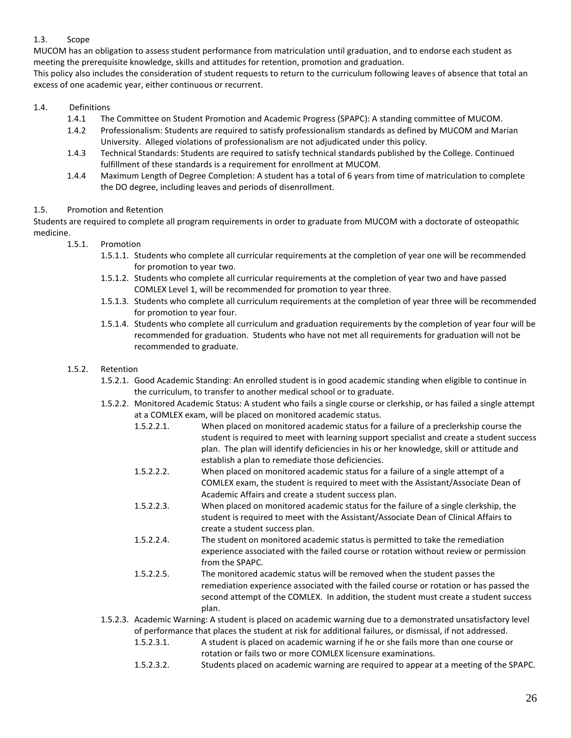### 1.3. Scope

MUCOM has an obligation to assess student performance from matriculation until graduation, and to endorse each student as meeting the prerequisite knowledge, skills and attitudes for retention, promotion and graduation.

This policy also includes the consideration of student requests to return to the curriculum following leaves of absence that total an excess of one academic year, either continuous or recurrent.

#### 1.4. Definitions

- 1.4.1 The Committee on Student Promotion and Academic Progress (SPAPC): A standing committee of MUCOM.
- 1.4.2 Professionalism: Students are required to satisfy professionalism standards as defined by MUCOM and Marian University. Alleged violations of professionalism are not adjudicated under this policy.
- 1.4.3 Technical Standards: Students are required to satisfy technical standards published by the College. Continued fulfillment of these standards is a requirement for enrollment at MUCOM.
- 1.4.4 Maximum Length of Degree Completion: A student has a total of 6 years from time of matriculation to complete the DO degree, including leaves and periods of disenrollment.

#### 1.5. Promotion and Retention

Students are required to complete all program requirements in order to graduate from MUCOM with a doctorate of osteopathic medicine.

- 1.5.1. Promotion
	- 1.5.1.1. Students who complete all curricular requirements at the completion of year one will be recommended for promotion to year two.
	- 1.5.1.2. Students who complete all curricular requirements at the completion of year two and have passed COMLEX Level 1, will be recommended for promotion to year three.
	- 1.5.1.3. Students who complete all curriculum requirements at the completion of year three will be recommended for promotion to year four.
	- 1.5.1.4. Students who complete all curriculum and graduation requirements by the completion of year four will be recommended for graduation. Students who have not met all requirements for graduation will not be recommended to graduate.
- 1.5.2. Retention
	- 1.5.2.1. Good Academic Standing: An enrolled student is in good academic standing when eligible to continue in the curriculum, to transfer to another medical school or to graduate.
	- 1.5.2.2. Monitored Academic Status: A student who fails a single course or clerkship, or has failed a single attempt at a COMLEX exam, will be placed on monitored academic status.
		- 1.5.2.2.1. When placed on monitored academic status for a failure of a preclerkship course the student is required to meet with learning support specialist and create a student success plan. The plan will identify deficiencies in his or her knowledge, skill or attitude and establish a plan to remediate those deficiencies.
		- 1.5.2.2.2. When placed on monitored academic status for a failure of a single attempt of a COMLEX exam, the student is required to meet with the Assistant/Associate Dean of Academic Affairs and create a student success plan.
		- 1.5.2.2.3. When placed on monitored academic status for the failure of a single clerkship, the student is required to meet with the Assistant/Associate Dean of Clinical Affairs to create a student success plan.
		- 1.5.2.2.4. The student on monitored academic status is permitted to take the remediation experience associated with the failed course or rotation without review or permission from the SPAPC.
		- 1.5.2.2.5. The monitored academic status will be removed when the student passes the remediation experience associated with the failed course or rotation or has passed the second attempt of the COMLEX. In addition, the student must create a student success plan.
	- 1.5.2.3. Academic Warning: A student is placed on academic warning due to a demonstrated unsatisfactory level of performance that places the student at risk for additional failures, or dismissal, if not addressed. 1.5.2.3.1. A student is placed on academic warning if he or she fails more than one course or
		- rotation or fails two or more COMLEX licensure examinations.
		- 1.5.2.3.2. Students placed on academic warning are required to appear at a meeting of the SPAPC.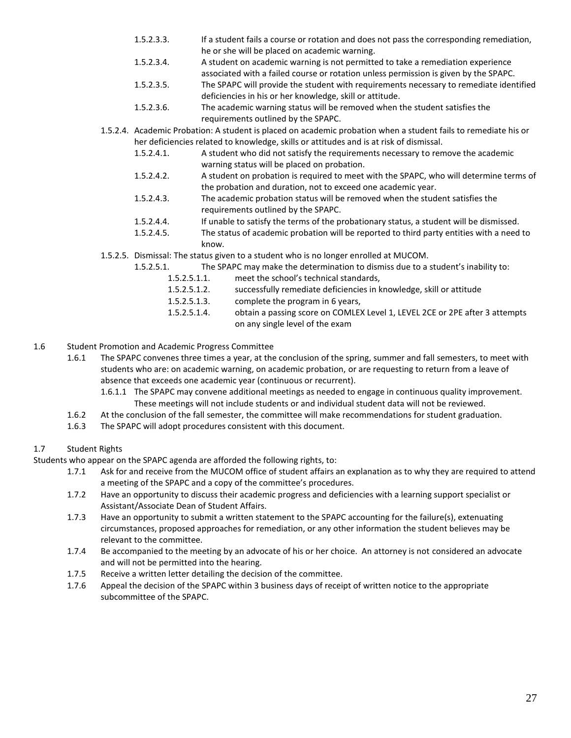- 1.5.2.3.3. If a student fails a course or rotation and does not pass the corresponding remediation, he or she will be placed on academic warning.
- 1.5.2.3.4. A student on academic warning is not permitted to take a remediation experience
	- associated with a failed course or rotation unless permission is given by the SPAPC.
- 1.5.2.3.5. The SPAPC will provide the student with requirements necessary to remediate identified deficiencies in his or her knowledge, skill or attitude.
- 1.5.2.3.6. The academic warning status will be removed when the student satisfies the requirements outlined by the SPAPC.
- 1.5.2.4. Academic Probation: A student is placed on academic probation when a student fails to remediate his or her deficiencies related to knowledge, skills or attitudes and is at risk of dismissal.
	- 1.5.2.4.1. A student who did not satisfy the requirements necessary to remove the academic warning status will be placed on probation.
	- 1.5.2.4.2. A student on probation is required to meet with the SPAPC, who will determine terms of the probation and duration, not to exceed one academic year.
	- 1.5.2.4.3. The academic probation status will be removed when the student satisfies the requirements outlined by the SPAPC.
	- 1.5.2.4.4. If unable to satisfy the terms of the probationary status, a student will be dismissed.
	- 1.5.2.4.5. The status of academic probation will be reported to third party entities with a need to know.
- 1.5.2.5. Dismissal: The status given to a student who is no longer enrolled at MUCOM.
	- 1.5.2.5.1. The SPAPC may make the determination to dismiss due to a student's inability to:
		- 1.5.2.5.1.1. meet the school's technical standards,
			- 1.5.2.5.1.2. successfully remediate deficiencies in knowledge, skill or attitude
			- 1.5.2.5.1.3. complete the program in 6 years,
			- 1.5.2.5.1.4. obtain a passing score on COMLEX Level 1, LEVEL 2CE or 2PE after 3 attempts on any single level of the exam
- 1.6 Student Promotion and Academic Progress Committee
	- 1.6.1 The SPAPC convenes three times a year, at the conclusion of the spring, summer and fall semesters, to meet with students who are: on academic warning, on academic probation, or are requesting to return from a leave of absence that exceeds one academic year (continuous or recurrent).
		- 1.6.1.1 The SPAPC may convene additional meetings as needed to engage in continuous quality improvement. These meetings will not include students or and individual student data will not be reviewed.
	- 1.6.2 At the conclusion of the fall semester, the committee will make recommendations for student graduation.
	- 1.6.3 The SPAPC will adopt procedures consistent with this document.

### 1.7 Student Rights

Students who appear on the SPAPC agenda are afforded the following rights, to:

- 1.7.1 Ask for and receive from the MUCOM office of student affairs an explanation as to why they are required to attend a meeting of the SPAPC and a copy of the committee's procedures.
- 1.7.2 Have an opportunity to discuss their academic progress and deficiencies with a learning support specialist or Assistant/Associate Dean of Student Affairs.
- 1.7.3 Have an opportunity to submit a written statement to the SPAPC accounting for the failure(s), extenuating circumstances, proposed approaches for remediation, or any other information the student believes may be relevant to the committee.
- 1.7.4 Be accompanied to the meeting by an advocate of his or her choice. An attorney is not considered an advocate and will not be permitted into the hearing.
- 1.7.5 Receive a written letter detailing the decision of the committee.
- 1.7.6 Appeal the decision of the SPAPC within 3 business days of receipt of written notice to the appropriate subcommittee of the SPAPC.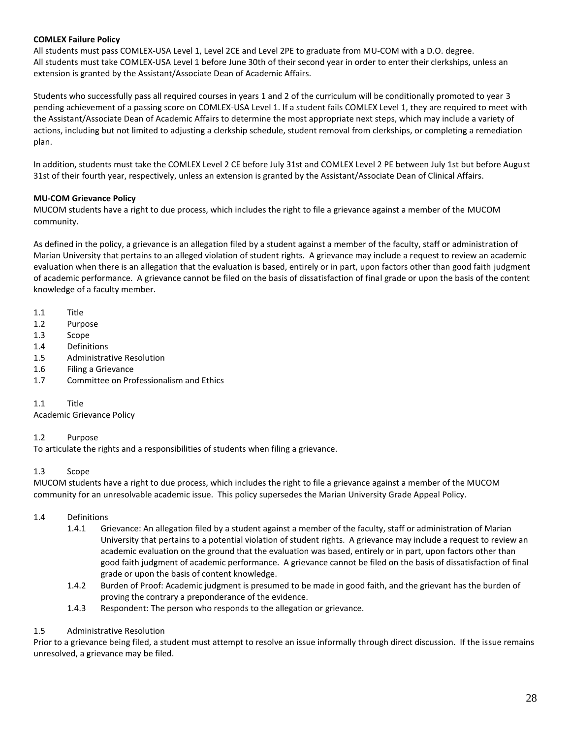#### **COMLEX Failure Policy**

All students must pass COMLEX-USA Level 1, Level 2CE and Level 2PE to graduate from MU-COM with a D.O. degree. All students must take COMLEX-USA Level 1 before June 30th of their second year in order to enter their clerkships, unless an extension is granted by the Assistant/Associate Dean of Academic Affairs.

Students who successfully pass all required courses in years 1 and 2 of the curriculum will be conditionally promoted to year 3 pending achievement of a passing score on COMLEX-USA Level 1. If a student fails COMLEX Level 1, they are required to meet with the Assistant/Associate Dean of Academic Affairs to determine the most appropriate next steps, which may include a variety of actions, including but not limited to adjusting a clerkship schedule, student removal from clerkships, or completing a remediation plan.

In addition, students must take the COMLEX Level 2 CE before July 31st and COMLEX Level 2 PE between July 1st but before August 31st of their fourth year, respectively, unless an extension is granted by the Assistant/Associate Dean of Clinical Affairs.

#### **MU-COM Grievance Policy**

MUCOM students have a right to due process, which includes the right to file a grievance against a member of the MUCOM community.

As defined in the policy, a grievance is an allegation filed by a student against a member of the faculty, staff or administration of Marian University that pertains to an alleged violation of student rights. A grievance may include a request to review an academic evaluation when there is an allegation that the evaluation is based, entirely or in part, upon factors other than good faith judgment of academic performance. A grievance cannot be filed on the basis of dissatisfaction of final grade or upon the basis of the content knowledge of a faculty member.

- 1.1 Title
- 1.2 Purpose
- 1.3 Scope
- 1.4 Definitions
- 1.5 Administrative Resolution
- 1.6 Filing a Grievance
- 1.7 Committee on Professionalism and Ethics

1.1 Title

Academic Grievance Policy

#### 1.2 Purpose

To articulate the rights and a responsibilities of students when filing a grievance.

#### 1.3 Scope

MUCOM students have a right to due process, which includes the right to file a grievance against a member of the MUCOM community for an unresolvable academic issue. This policy supersedes the Marian University Grade Appeal Policy.

#### 1.4 Definitions

- 1.4.1 Grievance: An allegation filed by a student against a member of the faculty, staff or administration of Marian University that pertains to a potential violation of student rights. A grievance may include a request to review an academic evaluation on the ground that the evaluation was based, entirely or in part, upon factors other than good faith judgment of academic performance. A grievance cannot be filed on the basis of dissatisfaction of final grade or upon the basis of content knowledge.
- 1.4.2 Burden of Proof: Academic judgment is presumed to be made in good faith, and the grievant has the burden of proving the contrary a preponderance of the evidence.
- 1.4.3 Respondent: The person who responds to the allegation or grievance.

### 1.5 Administrative Resolution

Prior to a grievance being filed, a student must attempt to resolve an issue informally through direct discussion. If the issue remains unresolved, a grievance may be filed.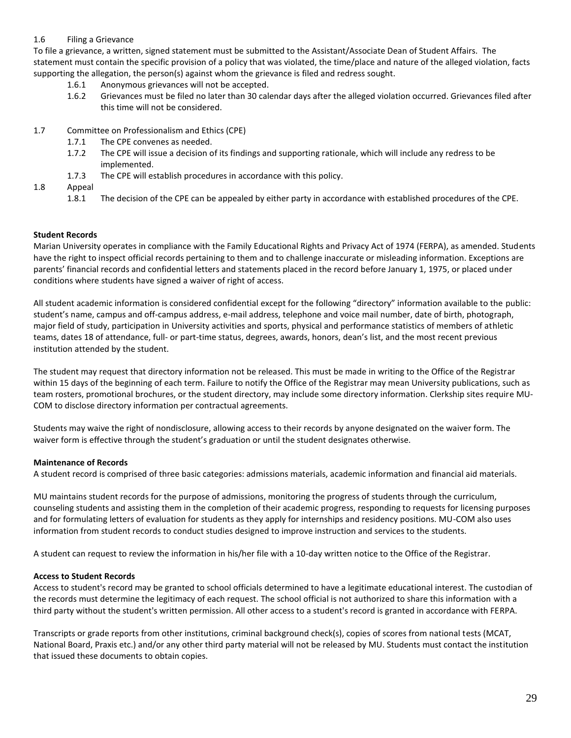#### 1.6 Filing a Grievance

To file a grievance, a written, signed statement must be submitted to the Assistant/Associate Dean of Student Affairs. The statement must contain the specific provision of a policy that was violated, the time/place and nature of the alleged violation, facts supporting the allegation, the person(s) against whom the grievance is filed and redress sought.

- 1.6.1 Anonymous grievances will not be accepted.
- 1.6.2 Grievances must be filed no later than 30 calendar days after the alleged violation occurred. Grievances filed after this time will not be considered.
- 1.7 Committee on Professionalism and Ethics (CPE)
	- 1.7.1 The CPE convenes as needed.
	- 1.7.2 The CPE will issue a decision of its findings and supporting rationale, which will include any redress to be implemented.
	- 1.7.3 The CPE will establish procedures in accordance with this policy.
- 1.8 Appeal
	- 1.8.1 The decision of the CPE can be appealed by either party in accordance with established procedures of the CPE.

#### **Student Records**

Marian University operates in compliance with the Family Educational Rights and Privacy Act of 1974 (FERPA), as amended. Students have the right to inspect official records pertaining to them and to challenge inaccurate or misleading information. Exceptions are parents' financial records and confidential letters and statements placed in the record before January 1, 1975, or placed under conditions where students have signed a waiver of right of access.

All student academic information is considered confidential except for the following "directory" information available to the public: student's name, campus and off-campus address, e-mail address, telephone and voice mail number, date of birth, photograph, major field of study, participation in University activities and sports, physical and performance statistics of members of athletic teams, dates 18 of attendance, full- or part-time status, degrees, awards, honors, dean's list, and the most recent previous institution attended by the student.

The student may request that directory information not be released. This must be made in writing to the Office of the Registrar within 15 days of the beginning of each term. Failure to notify the Office of the Registrar may mean University publications, such as team rosters, promotional brochures, or the student directory, may include some directory information. Clerkship sites require MU-COM to disclose directory information per contractual agreements.

Students may waive the right of nondisclosure, allowing access to their records by anyone designated on the waiver form. The waiver form is effective through the student's graduation or until the student designates otherwise.

#### **Maintenance of Records**

A student record is comprised of three basic categories: admissions materials, academic information and financial aid materials.

MU maintains student records for the purpose of admissions, monitoring the progress of students through the curriculum, counseling students and assisting them in the completion of their academic progress, responding to requests for licensing purposes and for formulating letters of evaluation for students as they apply for internships and residency positions. MU-COM also uses information from student records to conduct studies designed to improve instruction and services to the students.

A student can request to review the information in his/her file with a 10-day written notice to the Office of the Registrar.

#### **Access to Student Records**

Access to student's record may be granted to school officials determined to have a legitimate educational interest. The custodian of the records must determine the legitimacy of each request. The school official is not authorized to share this information with a third party without the student's written permission. All other access to a student's record is granted in accordance with FERPA.

Transcripts or grade reports from other institutions, criminal background check(s), copies of scores from national tests (MCAT, National Board, Praxis etc.) and/or any other third party material will not be released by MU. Students must contact the institution that issued these documents to obtain copies.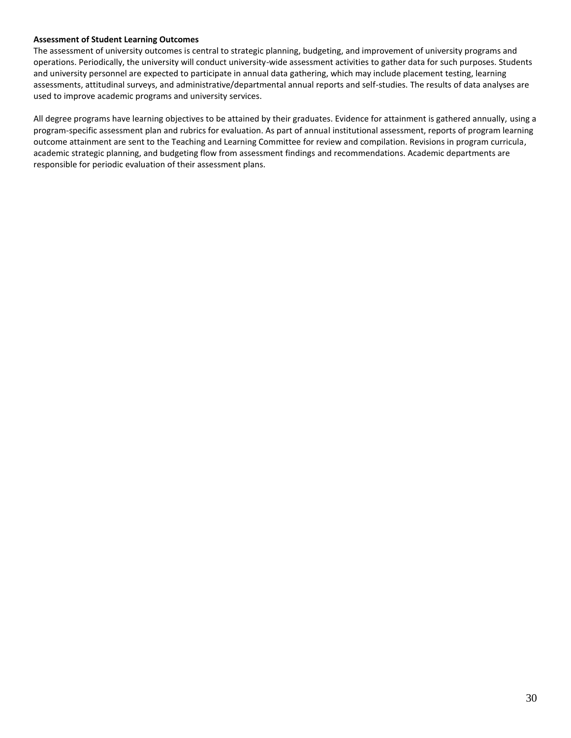#### **Assessment of Student Learning Outcomes**

The assessment of university outcomes is central to strategic planning, budgeting, and improvement of university programs and operations. Periodically, the university will conduct university-wide assessment activities to gather data for such purposes. Students and university personnel are expected to participate in annual data gathering, which may include placement testing, learning assessments, attitudinal surveys, and administrative/departmental annual reports and self-studies. The results of data analyses are used to improve academic programs and university services.

All degree programs have learning objectives to be attained by their graduates. Evidence for attainment is gathered annually, using a program-specific assessment plan and rubrics for evaluation. As part of annual institutional assessment, reports of program learning outcome attainment are sent to the Teaching and Learning Committee for review and compilation. Revisions in program curricula, academic strategic planning, and budgeting flow from assessment findings and recommendations. Academic departments are responsible for periodic evaluation of their assessment plans.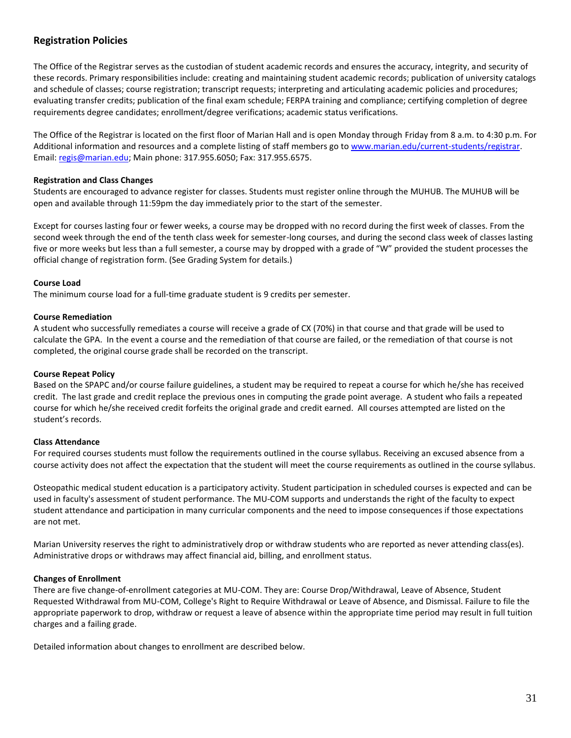## <span id="page-30-0"></span>**Registration Policies**

The Office of the Registrar serves as the custodian of student academic records and ensures the accuracy, integrity, and security of these records. Primary responsibilities include: creating and maintaining student academic records; publication of university catalogs and schedule of classes; course registration; transcript requests; interpreting and articulating academic policies and procedures; evaluating transfer credits; publication of the final exam schedule; FERPA training and compliance; certifying completion of degree requirements degree candidates; enrollment/degree verifications; academic status verifications.

The Office of the Registrar is located on the first floor of Marian Hall and is open Monday through Friday from 8 a.m. to 4:30 p.m. For Additional information and resources and a complete listing of staff members go t[o www.marian.edu/current-students/registrar.](http://www.marian.edu/current-students/registrar) Email: [regis@marian.edu;](mailto:regis@marian.edu) Main phone: 317.955.6050; Fax: 317.955.6575.

#### **Registration and Class Changes**

Students are encouraged to advance register for classes. Students must register online through the MUHUB. The MUHUB will be open and available through 11:59pm the day immediately prior to the start of the semester.

Except for courses lasting four or fewer weeks, a course may be dropped with no record during the first week of classes. From the second week through the end of the tenth class week for semester-long courses, and during the second class week of classes lasting five or more weeks but less than a full semester, a course may by dropped with a grade of "W" provided the student processes the official change of registration form. (See Grading System for details.)

#### <span id="page-30-1"></span>**Course Load**

The minimum course load for a full-time graduate student is 9 credits per semester.

#### **Course Remediation**

A student who successfully remediates a course will receive a grade of CX (70%) in that course and that grade will be used to calculate the GPA. In the event a course and the remediation of that course are failed, or the remediation of that course is not completed, the original course grade shall be recorded on the transcript.

#### **Course Repeat Policy**

Based on the SPAPC and/or course failure guidelines, a student may be required to repeat a course for which he/she has received credit. The last grade and credit replace the previous ones in computing the grade point average. A student who fails a repeated course for which he/she received credit forfeits the original grade and credit earned. All courses attempted are listed on the student's records.

### **Class Attendance**

For required courses students must follow the requirements outlined in the course syllabus. Receiving an excused absence from a course activity does not affect the expectation that the student will meet the course requirements as outlined in the course syllabus.

Osteopathic medical student education is a participatory activity. Student participation in scheduled courses is expected and can be used in faculty's assessment of student performance. The MU-COM supports and understands the right of the faculty to expect student attendance and participation in many curricular components and the need to impose consequences if those expectations are not met.

Marian University reserves the right to administratively drop or withdraw students who are reported as never attending class(es). Administrative drops or withdraws may affect financial aid, billing, and enrollment status.

### **Changes of Enrollment**

There are five change-of-enrollment categories at MU-COM. They are: Course Drop/Withdrawal, Leave of Absence, Student Requested Withdrawal from MU-COM, College's Right to Require Withdrawal or Leave of Absence, and Dismissal. Failure to file the appropriate paperwork to drop, withdraw or request a leave of absence within the appropriate time period may result in full tuition charges and a failing grade.

Detailed information about changes to enrollment are described below.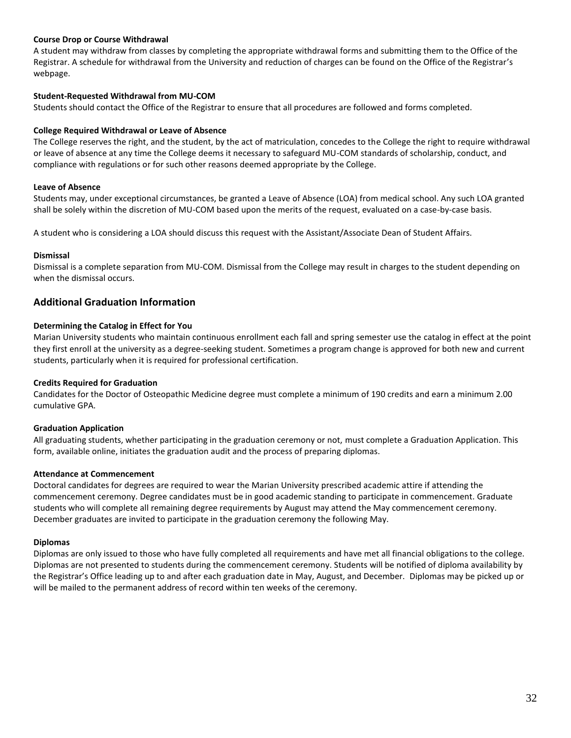#### **Course Drop or Course Withdrawal**

A student may withdraw from classes by completing the appropriate withdrawal forms and submitting them to the Office of the Registrar. A schedule for withdrawal from the University and reduction of charges can be found on the Office of the Registrar's webpage.

#### **Student-Requested Withdrawal from MU-COM**

Students should contact the Office of the Registrar to ensure that all procedures are followed and forms completed.

#### **College Required Withdrawal or Leave of Absence**

The College reserves the right, and the student, by the act of matriculation, concedes to the College the right to require withdrawal or leave of absence at any time the College deems it necessary to safeguard MU-COM standards of scholarship, conduct, and compliance with regulations or for such other reasons deemed appropriate by the College.

#### **Leave of Absence**

Students may, under exceptional circumstances, be granted a Leave of Absence (LOA) from medical school. Any such LOA granted shall be solely within the discretion of MU-COM based upon the merits of the request, evaluated on a case-by-case basis.

A student who is considering a LOA should discuss this request with the Assistant/Associate Dean of Student Affairs.

#### **Dismissal**

Dismissal is a complete separation from MU-COM. Dismissal from the College may result in charges to the student depending on when the dismissal occurs.

### <span id="page-31-0"></span>**Additional Graduation Information**

#### **Determining the Catalog in Effect for You**

Marian University students who maintain continuous enrollment each fall and spring semester use the catalog in effect at the point they first enroll at the university as a degree-seeking student. Sometimes a program change is approved for both new and current students, particularly when it is required for professional certification.

#### <span id="page-31-2"></span>**Credits Required for Graduation**

Candidates for the Doctor of Osteopathic Medicine degree must complete a minimum of 190 credits and earn a minimum 2.00 cumulative GPA.

#### <span id="page-31-1"></span>**Graduation Application**

All graduating students, whether participating in the graduation ceremony or not, must complete a Graduation Application. This form, available online, initiates the graduation audit and the process of preparing diplomas.

#### **Attendance at Commencement**

Doctoral candidates for degrees are required to wear the Marian University prescribed academic attire if attending the commencement ceremony. Degree candidates must be in good academic standing to participate in commencement. Graduate students who will complete all remaining degree requirements by August may attend the May commencement ceremony. December graduates are invited to participate in the graduation ceremony the following May.

#### **Diplomas**

Diplomas are only issued to those who have fully completed all requirements and have met all financial obligations to the college. Diplomas are not presented to students during the commencement ceremony. Students will be notified of diploma availability by the Registrar's Office leading up to and after each graduation date in May, August, and December. Diplomas may be picked up or will be mailed to the permanent address of record within ten weeks of the ceremony.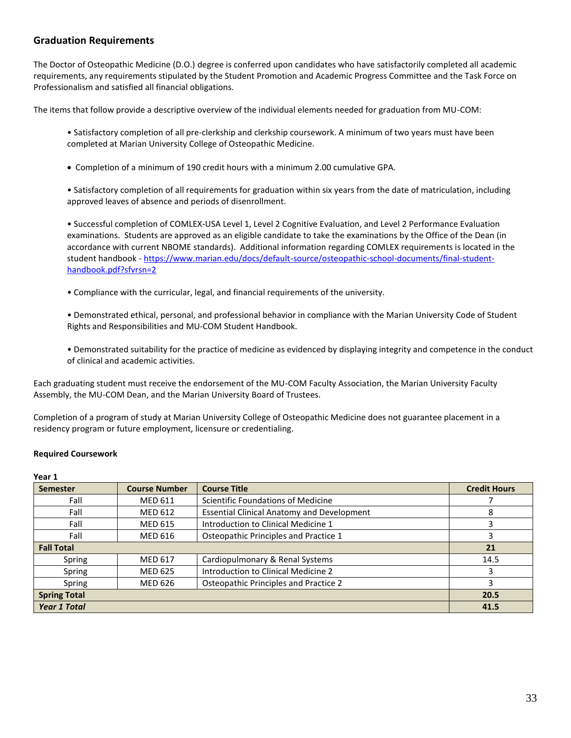## <span id="page-32-0"></span>**Graduation Requirements**

The Doctor of Osteopathic Medicine (D.O.) degree is conferred upon candidates who have satisfactorily completed all academic requirements, any requirements stipulated by the Student Promotion and Academic Progress Committee and the Task Force on Professionalism and satisfied all financial obligations.

The items that follow provide a descriptive overview of the individual elements needed for graduation from MU-COM:

• Satisfactory completion of all pre-clerkship and clerkship coursework. A minimum of two years must have been completed at Marian University College of Osteopathic Medicine.

Completion of a minimum of 190 credit hours with a minimum 2.00 cumulative GPA.

• Satisfactory completion of all requirements for graduation within six years from the date of matriculation, including approved leaves of absence and periods of disenrollment.

• Successful completion of COMLEX-USA Level 1, Level 2 Cognitive Evaluation, and Level 2 Performance Evaluation examinations. Students are approved as an eligible candidate to take the examinations by the Office of the Dean (in accordance with current NBOME standards). Additional information regarding COMLEX requirements is located in the student handbook - [https://www.marian.edu/docs/default-source/osteopathic-school-documents/final-student](https://www.marian.edu/docs/default-source/osteopathic-school-documents/final-student-handbook.pdf?sfvrsn=2)[handbook.pdf?sfvrsn=2](https://www.marian.edu/docs/default-source/osteopathic-school-documents/final-student-handbook.pdf?sfvrsn=2)

- Compliance with the curricular, legal, and financial requirements of the university.
- Demonstrated ethical, personal, and professional behavior in compliance with the Marian University Code of Student Rights and Responsibilities and MU-COM Student Handbook.
- Demonstrated suitability for the practice of medicine as evidenced by displaying integrity and competence in the conduct of clinical and academic activities.

Each graduating student must receive the endorsement of the MU-COM Faculty Association, the Marian University Faculty Assembly, the MU-COM Dean, and the Marian University Board of Trustees.

Completion of a program of study at Marian University College of Osteopathic Medicine does not guarantee placement in a residency program or future employment, licensure or credentialing.

#### **Required Coursework**

#### **Year 1**

| . cu. +             |                      |                                                   |                     |
|---------------------|----------------------|---------------------------------------------------|---------------------|
| <b>Semester</b>     | <b>Course Number</b> | <b>Course Title</b>                               | <b>Credit Hours</b> |
| Fall                | <b>MED 611</b>       | Scientific Foundations of Medicine                |                     |
| Fall                | <b>MED 612</b>       | <b>Essential Clinical Anatomy and Development</b> | 8                   |
| Fall                | <b>MED 615</b>       | Introduction to Clinical Medicine 1               | 3                   |
| Fall                | <b>MED 616</b>       | Osteopathic Principles and Practice 1             | 3                   |
| <b>Fall Total</b>   |                      | 21                                                |                     |
| Spring              | <b>MED 617</b>       | Cardiopulmonary & Renal Systems                   | 14.5                |
| Spring              | <b>MED 625</b>       | Introduction to Clinical Medicine 2               | 3                   |
| Spring              | <b>MED 626</b>       | Osteopathic Principles and Practice 2             | 3                   |
| <b>Spring Total</b> |                      |                                                   | 20.5                |
| <b>Year 1 Total</b> |                      |                                                   | 41.5                |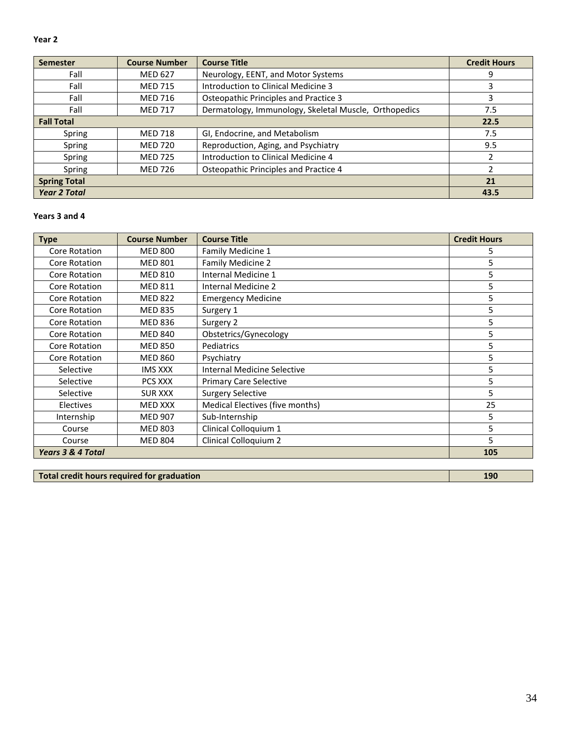| Year 2          |                      |     |
|-----------------|----------------------|-----|
| <b>Semester</b> | <b>Course Number</b> | Cou |
|                 | $ - - - -$           |     |

| <b>Semester</b>     | <b>Course Number</b> | <b>Course Title</b>                                   | <b>Credit Hours</b> |
|---------------------|----------------------|-------------------------------------------------------|---------------------|
| Fall                | <b>MED 627</b>       | Neurology, EENT, and Motor Systems                    | 9                   |
| Fall                | <b>MED 715</b>       | Introduction to Clinical Medicine 3                   |                     |
| Fall                | <b>MED 716</b>       | Osteopathic Principles and Practice 3                 | 3                   |
| Fall                | <b>MED 717</b>       | Dermatology, Immunology, Skeletal Muscle, Orthopedics | 7.5                 |
| <b>Fall Total</b>   |                      | 22.5                                                  |                     |
| Spring              | <b>MED 718</b>       | GI, Endocrine, and Metabolism                         | 7.5                 |
| Spring              | <b>MED 720</b>       | Reproduction, Aging, and Psychiatry                   | 9.5                 |
| Spring              | <b>MED 725</b>       | Introduction to Clinical Medicine 4                   |                     |
| Spring              | <b>MED 726</b>       | Osteopathic Principles and Practice 4                 |                     |
| <b>Spring Total</b> |                      |                                                       | 21                  |
| <b>Year 2 Total</b> |                      |                                                       | 43.5                |

## **Years 3 and 4**

| <b>Type</b>                  | <b>Course Number</b> | <b>Course Title</b>             | <b>Credit Hours</b> |
|------------------------------|----------------------|---------------------------------|---------------------|
| Core Rotation                | <b>MED 800</b>       | Family Medicine 1               | 5                   |
| Core Rotation                | <b>MED 801</b>       | Family Medicine 2               | 5                   |
| Core Rotation                | <b>MED 810</b>       | Internal Medicine 1             | 5                   |
| Core Rotation                | <b>MED 811</b>       | Internal Medicine 2             | 5                   |
| Core Rotation                | <b>MED 822</b>       | <b>Emergency Medicine</b>       | 5                   |
| Core Rotation                | <b>MED 835</b>       | Surgery 1                       | 5                   |
| Core Rotation                | <b>MED 836</b>       | Surgery 2                       | 5                   |
| Core Rotation                | <b>MED 840</b>       | Obstetrics/Gynecology           | 5                   |
| Core Rotation                | <b>MED 850</b>       | Pediatrics                      | 5                   |
| Core Rotation                | <b>MED 860</b>       | Psychiatry                      | 5                   |
| Selective                    | <b>IMS XXX</b>       | Internal Medicine Selective     | 5                   |
| Selective                    | PCS XXX              | <b>Primary Care Selective</b>   | 5                   |
| Selective                    | <b>SUR XXX</b>       | <b>Surgery Selective</b>        | 5                   |
| <b>Electives</b>             | <b>MED XXX</b>       | Medical Electives (five months) | 25                  |
| Internship                   | <b>MED 907</b>       | Sub-Internship                  | 5                   |
| Course                       | <b>MED 803</b>       | Clinical Colloquium 1           | 5                   |
| Course                       | <b>MED 804</b>       | Clinical Colloquium 2           | 5                   |
| <b>Years 3 &amp; 4 Total</b> |                      |                                 | 105                 |

**Total credit hours required for graduation 190**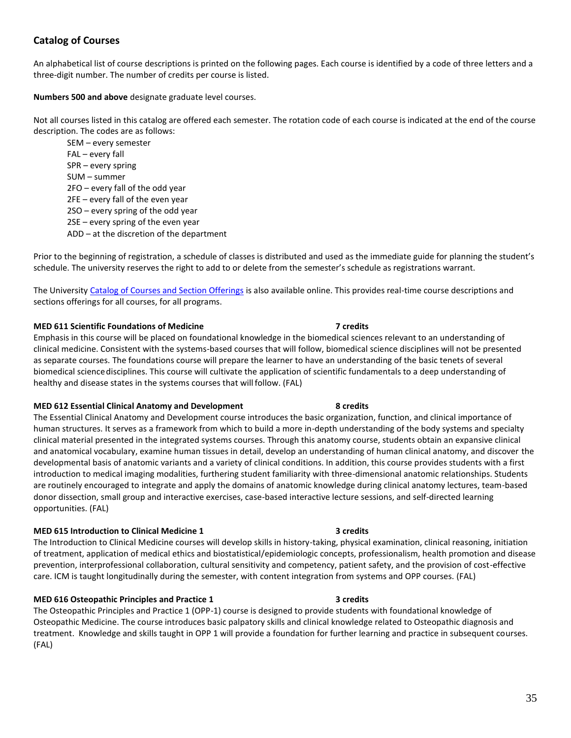## **Catalog of Courses**

An alphabetical list of course descriptions is printed on the following pages. Each course is identified by a code of three letters and a three-digit number. The number of credits per course is listed.

**Numbers 500 and above** designate graduate level courses.

Not all courses listed in this catalog are offered each semester. The rotation code of each course is indicated at the end of the course description. The codes are as follows:

SEM – every semester FAL – every fall SPR – every spring SUM – summer 2FO – every fall of the odd year 2FE – every fall of the even year 2SO – every spring of the odd year 2SE – every spring of the even year ADD – at the discretion of the department

Prior to the beginning of registration, a schedule of classes is distributed and used as the immediate guide for planning the student's schedule. The university reserves the right to add to or delete from the semester's schedule as registrations warrant.

The Universit[y Catalog of Courses and Section Offerings](https://hub.marian.edu/student/courses?_ga=2.222789339.1176439821.1551185501-956312658.1540479362) is also available online. This provides real-time course descriptions and sections offerings for all courses, for all programs.

#### **MED 611 Scientific Foundations of Medicine 7 credits**

Emphasis in this course will be placed on foundational knowledge in the biomedical sciences relevant to an understanding of clinical medicine. Consistent with the systems-based courses that will follow, biomedical science disciplines will not be presented as separate courses. The foundations course will prepare the learner to have an understanding of the basic tenets of several biomedical sciencedisciplines. This course will cultivate the application of scientific fundamentals to a deep understanding of healthy and disease states in the systems courses that will follow. (FAL)

#### **MED 612 Essential Clinical Anatomy and Development 8 credits**

The Essential Clinical Anatomy and Development course introduces the basic organization, function, and clinical importance of human structures. It serves as a framework from which to build a more in-depth understanding of the body systems and specialty clinical material presented in the integrated systems courses. Through this anatomy course, students obtain an expansive clinical and anatomical vocabulary, examine human tissues in detail, develop an understanding of human clinical anatomy, and discover the developmental basis of anatomic variants and a variety of clinical conditions. In addition, this course provides students with a first introduction to medical imaging modalities, furthering student familiarity with three-dimensional anatomic relationships. Students are routinely encouraged to integrate and apply the domains of anatomic knowledge during clinical anatomy lectures, team-based donor dissection, small group and interactive exercises, case-based interactive lecture sessions, and self-directed learning opportunities. (FAL)

### **MED 615 Introduction to Clinical Medicine 1 3 credits**

The Introduction to Clinical Medicine courses will develop skills in history-taking, physical examination, clinical reasoning, initiation of treatment, application of medical ethics and biostatistical/epidemiologic concepts, professionalism, health promotion and disease prevention, interprofessional collaboration, cultural sensitivity and competency, patient safety, and the provision of cost-effective care. ICM is taught longitudinally during the semester, with content integration from systems and OPP courses. (FAL)

### **MED 616 Osteopathic Principles and Practice 1 3 credits**

The Osteopathic Principles and Practice 1 (OPP-1) course is designed to provide students with foundational knowledge of Osteopathic Medicine. The course introduces basic palpatory skills and clinical knowledge related to Osteopathic diagnosis and treatment. Knowledge and skills taught in OPP 1 will provide a foundation for further learning and practice in subsequent courses. (FAL)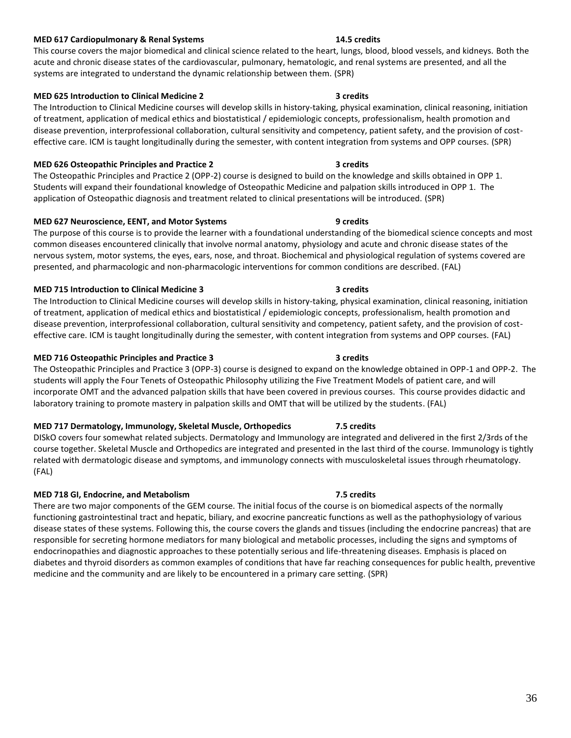## **MED 617 Cardiopulmonary & Renal Systems 14.5 credits**

This course covers the major biomedical and clinical science related to the heart, lungs, blood, blood vessels, and kidneys. Both the acute and chronic disease states of the cardiovascular, pulmonary, hematologic, and renal systems are presented, and all the systems are integrated to understand the dynamic relationship between them. (SPR)

#### **MED 625 Introduction to Clinical Medicine 2 3 credits**

### The Introduction to Clinical Medicine courses will develop skills in history-taking, physical examination, clinical reasoning, initiation of treatment, application of medical ethics and biostatistical / epidemiologic concepts, professionalism, health promotion and disease prevention, interprofessional collaboration, cultural sensitivity and competency, patient safety, and the provision of costeffective care. ICM is taught longitudinally during the semester, with content integration from systems and OPP courses. (SPR)

#### **MED 626 Osteopathic Principles and Practice 2 3 credits**

The Osteopathic Principles and Practice 2 (OPP-2) course is designed to build on the knowledge and skills obtained in OPP 1. Students will expand their foundational knowledge of Osteopathic Medicine and palpation skills introduced in OPP 1. The application of Osteopathic diagnosis and treatment related to clinical presentations will be introduced. (SPR)

#### **MED 627 Neuroscience, EENT, and Motor Systems 9 credits**

The purpose of this course is to provide the learner with a foundational understanding of the biomedical science concepts and most common diseases encountered clinically that involve normal anatomy, physiology and acute and chronic disease states of the nervous system, motor systems, the eyes, ears, nose, and throat. Biochemical and physiological regulation of systems covered are presented, and pharmacologic and non-pharmacologic interventions for common conditions are described. (FAL)

#### **MED 715 Introduction to Clinical Medicine 3 3 credits**

The Introduction to Clinical Medicine courses will develop skills in history-taking, physical examination, clinical reasoning, initiation of treatment, application of medical ethics and biostatistical / epidemiologic concepts, professionalism, health promotion and disease prevention, interprofessional collaboration, cultural sensitivity and competency, patient safety, and the provision of costeffective care. ICM is taught longitudinally during the semester, with content integration from systems and OPP courses. (FAL)

#### **MED 716 Osteopathic Principles and Practice 3 3 credits**

The Osteopathic Principles and Practice 3 (OPP-3) course is designed to expand on the knowledge obtained in OPP-1 and OPP-2. The students will apply the Four Tenets of Osteopathic Philosophy utilizing the Five Treatment Models of patient care, and will incorporate OMT and the advanced palpation skills that have been covered in previous courses. This course provides didactic and laboratory training to promote mastery in palpation skills and OMT that will be utilized by the students. (FAL)

#### **MED 717 Dermatology, Immunology, Skeletal Muscle, Orthopedics 7.5 credits**

DISkO covers four somewhat related subjects. Dermatology and Immunology are integrated and delivered in the first 2/3rds of the course together. Skeletal Muscle and Orthopedics are integrated and presented in the last third of the course. Immunology is tightly related with dermatologic disease and symptoms, and immunology connects with musculoskeletal issues through rheumatology. (FAL)

#### **MED 718 GI, Endocrine, and Metabolism 7.5 credits**

There are two major components of the GEM course. The initial focus of the course is on biomedical aspects of the normally functioning gastrointestinal tract and hepatic, biliary, and exocrine pancreatic functions as well as the pathophysiology of various disease states of these systems. Following this, the course covers the glands and tissues (including the endocrine pancreas) that are responsible for secreting hormone mediators for many biological and metabolic processes, including the signs and symptoms of endocrinopathies and diagnostic approaches to these potentially serious and life-threatening diseases. Emphasis is placed on diabetes and thyroid disorders as common examples of conditions that have far reaching consequences for public health, preventive medicine and the community and are likely to be encountered in a primary care setting. (SPR)

### 36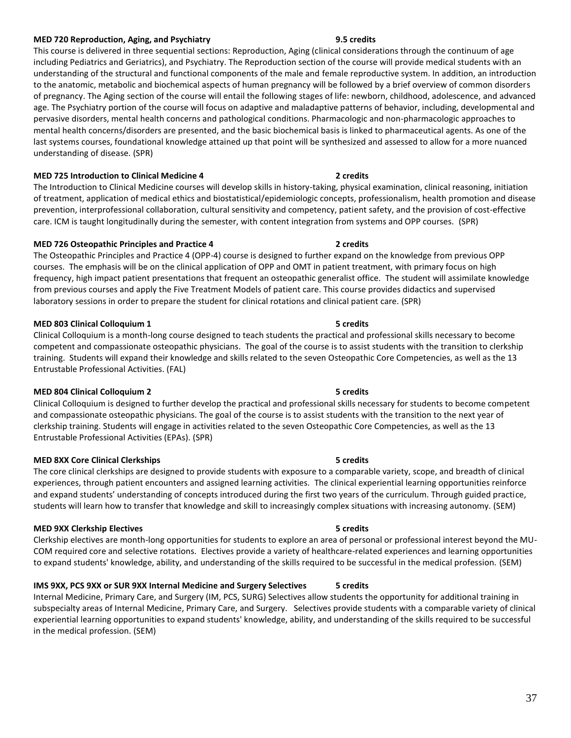#### **MED 720 Reproduction, Aging, and Psychiatry 9.5 credits**

This course is delivered in three sequential sections: Reproduction, Aging (clinical considerations through the continuum of age including Pediatrics and Geriatrics), and Psychiatry. The Reproduction section of the course will provide medical students with an understanding of the structural and functional components of the male and female reproductive system. In addition, an introduction to the anatomic, metabolic and biochemical aspects of human pregnancy will be followed by a brief overview of common disorders of pregnancy. The Aging section of the course will entail the following stages of life: newborn, childhood, adolescence, and advanced age. The Psychiatry portion of the course will focus on adaptive and maladaptive patterns of behavior, including, developmental and pervasive disorders, mental health concerns and pathological conditions. Pharmacologic and non-pharmacologic approaches to mental health concerns/disorders are presented, and the basic biochemical basis is linked to pharmaceutical agents. As one of the last systems courses, foundational knowledge attained up that point will be synthesized and assessed to allow for a more nuanced understanding of disease. (SPR)

#### **MED 725 Introduction to Clinical Medicine 4 2 credits**

The Introduction to Clinical Medicine courses will develop skills in history-taking, physical examination, clinical reasoning, initiation of treatment, application of medical ethics and biostatistical/epidemiologic concepts, professionalism, health promotion and disease prevention, interprofessional collaboration, cultural sensitivity and competency, patient safety, and the provision of cost-effective care. ICM is taught longitudinally during the semester, with content integration from systems and OPP courses. (SPR)

#### **MED 726 Osteopathic Principles and Practice 4 2 credits**

The Osteopathic Principles and Practice 4 (OPP-4) course is designed to further expand on the knowledge from previous OPP courses. The emphasis will be on the clinical application of OPP and OMT in patient treatment, with primary focus on high frequency, high impact patient presentations that frequent an osteopathic generalist office. The student will assimilate knowledge from previous courses and apply the Five Treatment Models of patient care. This course provides didactics and supervised laboratory sessions in order to prepare the student for clinical rotations and clinical patient care. (SPR)

#### **MED 803 Clinical Colloquium 1 5 credits**

Clinical Colloquium is a month-long course designed to teach students the practical and professional skills necessary to become competent and compassionate osteopathic physicians. The goal of the course is to assist students with the transition to clerkship training. Students will expand their knowledge and skills related to the seven Osteopathic Core Competencies, as well as the 13 Entrustable Professional Activities. (FAL)

#### **MED 804 Clinical Colloquium 2 5 credits**

Clinical Colloquium is designed to further develop the practical and professional skills necessary for students to become competent and compassionate osteopathic physicians. The goal of the course is to assist students with the transition to the next year of clerkship training. Students will engage in activities related to the seven Osteopathic Core Competencies, as well as the 13 Entrustable Professional Activities (EPAs). (SPR)

#### **MED 8XX Core Clinical Clerkships 6 and 20 and 20 and 3 credits** 5 credits

### The core clinical clerkships are designed to provide students with exposure to a comparable variety, scope, and breadth of clinical experiences, through patient encounters and assigned learning activities. The clinical experiential learning opportunities reinforce and expand students' understanding of concepts introduced during the first two years of the curriculum. Through guided practice, students will learn how to transfer that knowledge and skill to increasingly complex situations with increasing autonomy. (SEM)

#### **MED 9XX Clerkship Electives 6 credits** 5 credits

Clerkship electives are month-long opportunities for students to explore an area of personal or professional interest beyond the MU-COM required core and selective rotations. Electives provide a variety of healthcare-related experiences and learning opportunities to expand students' knowledge, ability, and understanding of the skills required to be successful in the medical profession. (SEM)

#### **IMS 9XX, PCS 9XX or SUR 9XX Internal Medicine and Surgery Selectives 5 credits**

Internal Medicine, Primary Care, and Surgery (IM, PCS, SURG) Selectives allow students the opportunity for additional training in subspecialty areas of Internal Medicine, Primary Care, and Surgery. Selectives provide students with a comparable variety of clinical experiential learning opportunities to expand students' knowledge, ability, and understanding of the skills required to be successful in the medical profession. (SEM)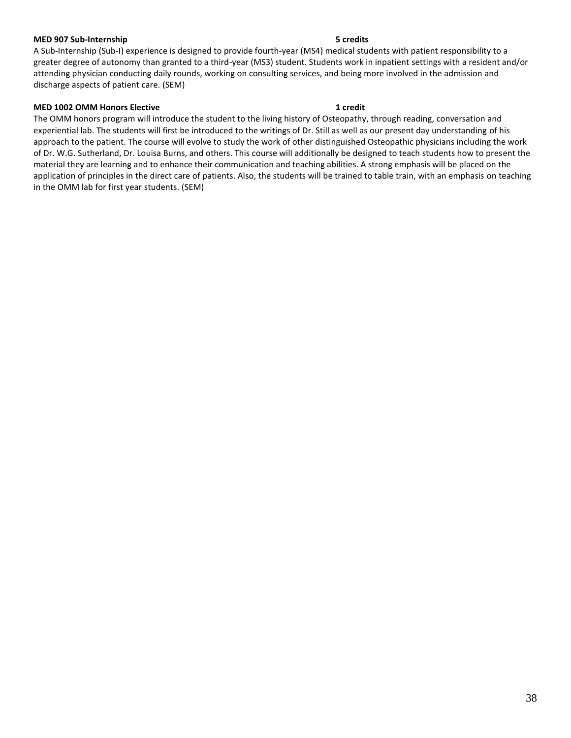#### **MED 907 Sub-Internship 5 credits**

### A Sub-Internship (Sub-I) experience is designed to provide fourth-year (MS4) medical students with patient responsibility to a greater degree of autonomy than granted to a third-year (MS3) student. Students work in inpatient settings with a resident and/or attending physician conducting daily rounds, working on consulting services, and being more involved in the admission and discharge aspects of patient care. (SEM)

#### **MED 1002 OMM Honors Elective 1 credit**

<span id="page-37-0"></span>The OMM honors program will introduce the student to the living history of Osteopathy, through reading, conversation and experiential lab. The students will first be introduced to the writings of Dr. Still as well as our present day understanding of his approach to the patient. The course will evolve to study the work of other distinguished Osteopathic physicians including the work of Dr. W.G. Sutherland, Dr. Louisa Burns, and others. This course will additionally be designed to teach students how to present the material they are learning and to enhance their communication and teaching abilities. A strong emphasis will be placed on the application of principles in the direct care of patients. Also, the students will be trained to table train, with an emphasis on teaching in the OMM lab for first year students. (SEM)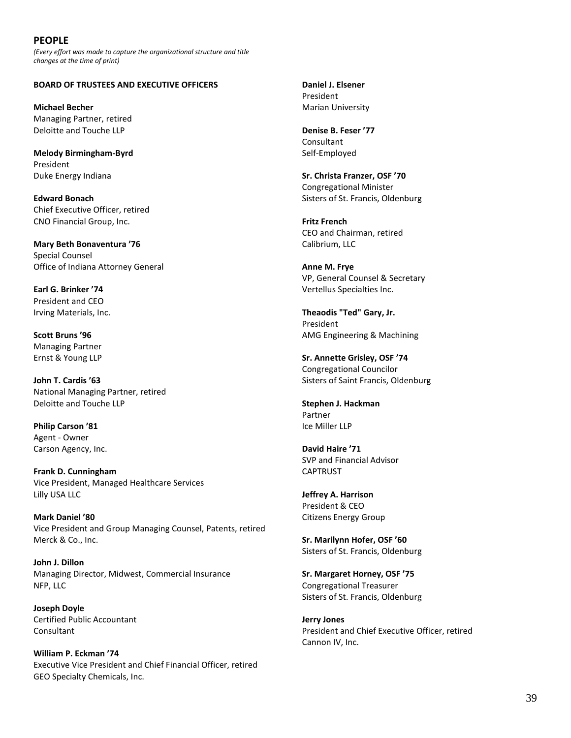## **PEOPLE**

*(Every effort was made to capture the organizational structure and title changes at the time of print)*

#### <span id="page-38-0"></span>**BOARD OF TRUSTEES AND EXECUTIVE OFFICERS**

**Michael Becher** Managing Partner, retired Deloitte and Touche LLP

**Melody Birmingham-Byrd** President Duke Energy Indiana

**Edward Bonach** Chief Executive Officer, retired CNO Financial Group, Inc.

**Mary Beth Bonaventura '76** Special Counsel Office of Indiana Attorney General

**Earl G. Brinker '74** President and CEO Irving Materials, Inc.

**Scott Bruns '96** Managing Partner Ernst & Young LLP

**John T. Cardis '63** National Managing Partner, retired Deloitte and Touche LLP

**Philip Carson '81** Agent - Owner Carson Agency, Inc.

**Frank D. Cunningham** Vice President, Managed Healthcare Services Lilly USA LLC

**Mark Daniel '80** Vice President and Group Managing Counsel, Patents, retired Merck & Co., Inc.

**John J. Dillon** Managing Director, Midwest, Commercial Insurance NFP, LLC

**Joseph Doyle** Certified Public Accountant Consultant

**William P. Eckman '74** Executive Vice President and Chief Financial Officer, retired GEO Specialty Chemicals, Inc.

**Daniel J. Elsener** President Marian University

**Denise B. Feser '77** Consultant Self-Employed

**Sr. Christa Franzer, OSF '70** Congregational Minister Sisters of St. Francis, Oldenburg

**Fritz French** CEO and Chairman, retired Calibrium, LLC

**Anne M. Frye** VP, General Counsel & Secretary Vertellus Specialties Inc.

**Theaodis "Ted" Gary, Jr.** President AMG Engineering & Machining

**Sr. Annette Grisley, OSF '74** Congregational Councilor Sisters of Saint Francis, Oldenburg

**Stephen J. Hackman** Partner Ice Miller LLP

**David Haire '71** SVP and Financial Advisor CAPTRUST

**Jeffrey A. Harrison** President & CEO Citizens Energy Group

**Sr. Marilynn Hofer, OSF '60** Sisters of St. Francis, Oldenburg

**Sr. Margaret Horney, OSF '75** Congregational Treasurer Sisters of St. Francis, Oldenburg

**Jerry Jones** President and Chief Executive Officer, retired Cannon IV, Inc.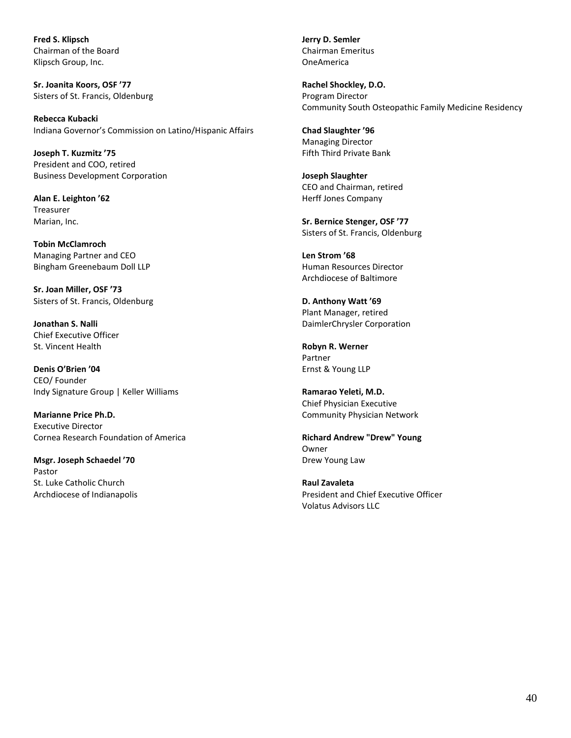**Fred S. Klipsch** Chairman of the Board Klipsch Group, Inc.

**Sr. Joanita Koors, OSF '77** Sisters of St. Francis, Oldenburg

**Rebecca Kubacki** Indiana Governor's Commission on Latino/Hispanic Affairs

**Joseph T. Kuzmitz '75** President and COO, retired Business Development Corporation

**Alan E. Leighton '62 Treasurer** Marian, Inc.

**Tobin McClamroch** Managing Partner and CEO Bingham Greenebaum Doll LLP

**Sr. Joan Miller, OSF '73** Sisters of St. Francis, Oldenburg

**Jonathan S. Nalli** Chief Executive Officer St. Vincent Health

**Denis O'Brien '04** CEO/ Founder Indy Signature Group | Keller Williams

**Marianne Price Ph.D.** Executive Director Cornea Research Foundation of America

**Msgr. Joseph Schaedel '70** Pastor St. Luke Catholic Church Archdiocese of Indianapolis **Jerry D. Semler** Chairman Emeritus OneAmerica

**Rachel Shockley, D.O.** Program Director Community South Osteopathic Family Medicine Residency

**Chad Slaughter '96** Managing Director Fifth Third Private Bank

**Joseph Slaughter** CEO and Chairman, retired Herff Jones Company

**Sr. Bernice Stenger, OSF '77** Sisters of St. Francis, Oldenburg

**Len Strom '68** Human Resources Director Archdiocese of Baltimore

**D. Anthony Watt '69** Plant Manager, retired DaimlerChrysler Corporation

**Robyn R. Werner** Partner Ernst & Young LLP

**Ramarao Yeleti, M.D.** Chief Physician Executive Community Physician Network

**Richard Andrew "Drew" Young** Owner Drew Young Law

**Raul Zavaleta** President and Chief Executive Officer Volatus Advisors LLC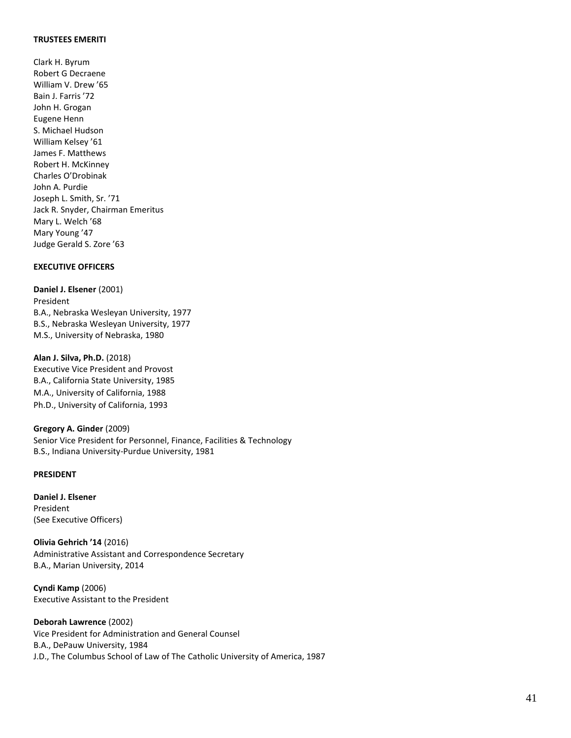#### **TRUSTEES EMERITI**

Clark H. Byrum Robert G Decraene William V. Drew '65 Bain J. Farris '72 John H. Grogan Eugene Henn S. Michael Hudson William Kelsey '61 James F. Matthews Robert H. McKinney Charles O'Drobinak John A. Purdie Joseph L. Smith, Sr. '71 Jack R. Snyder, Chairman Emeritus Mary L. Welch '68 Mary Young '47 Judge Gerald S. Zore '63

### <span id="page-40-0"></span>**EXECUTIVE OFFICERS**

**Daniel J. Elsener** (2001) President B.A., Nebraska Wesleyan University, 1977 B.S., Nebraska Wesleyan University, 1977 M.S., University of Nebraska, 1980

**Alan J. Silva, Ph.D.** (2018) Executive Vice President and Provost B.A., California State University, 1985 M.A., University of California, 1988 Ph.D., University of California, 1993

**Gregory A. Ginder** (2009) Senior Vice President for Personnel, Finance, Facilities & Technology B.S., Indiana University-Purdue University, 1981

#### **PRESIDENT**

**Daniel J. Elsener** President (See Executive Officers)

**Olivia Gehrich '14** (2016) Administrative Assistant and Correspondence Secretary B.A., Marian University, 2014

**Cyndi Kamp** (2006) Executive Assistant to the President

**Deborah Lawrence** (2002) Vice President for Administration and General Counsel B.A., DePauw University, 1984 J.D., The Columbus School of Law of The Catholic University of America, 1987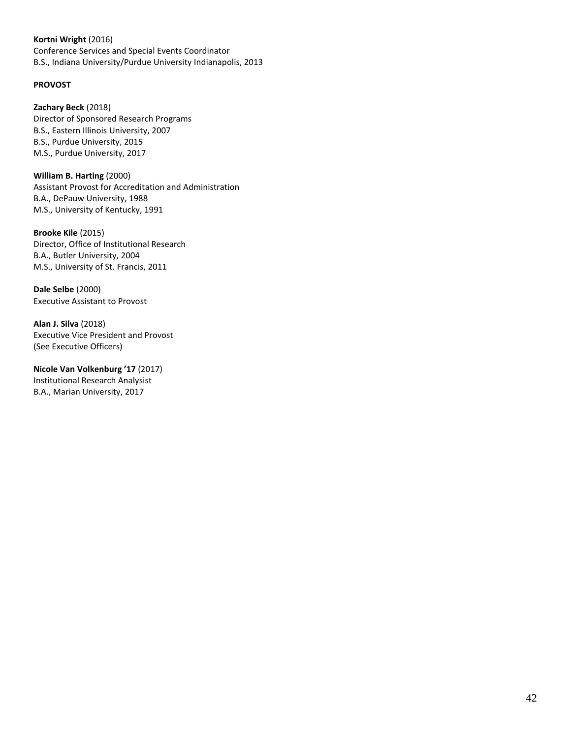#### **Kortni Wright** (2016)

Conference Services and Special Events Coordinator B.S., Indiana University/Purdue University Indianapolis, 2013

### **PROVOST**

**Zachary Beck** (2018) Director of Sponsored Research Programs B.S., Eastern Illinois University, 2007 B.S., Purdue University, 2015 M.S., Purdue University, 2017

**William B. Harting** (2000) Assistant Provost for Accreditation and Administration B.A., DePauw University, 1988 M.S., University of Kentucky, 1991

**Brooke Kile** (2015) Director, Office of Institutional Research B.A., Butler University, 2004 M.S., University of St. Francis, 2011

**Dale Selbe** (2000) Executive Assistant to Provost

**Alan J. Silva** (2018) Executive Vice President and Provost (See Executive Officers)

**Nicole Van Volkenburg '17** (2017) Institutional Research Analysist B.A., Marian University, 2017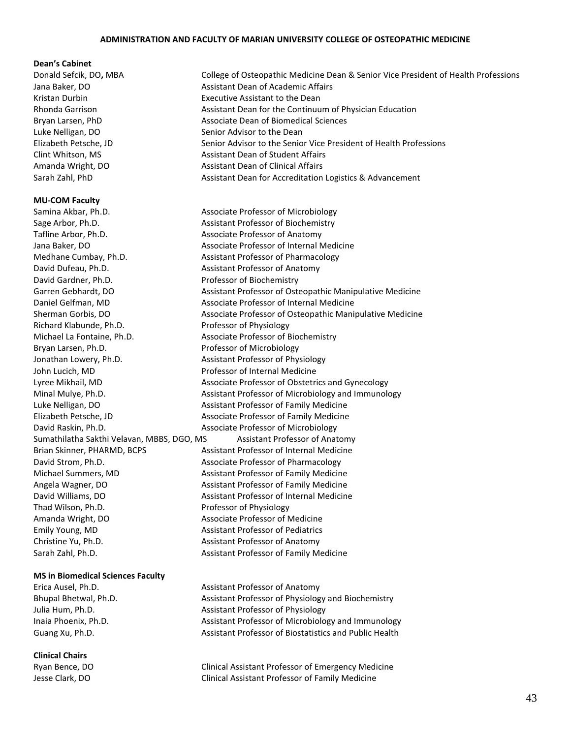#### **ADMINISTRATION AND FACULTY OF MARIAN UNIVERSITY COLLEGE OF OSTEOPATHIC MEDICINE**

#### **Dean's Cabinet**

#### **MU-COM Faculty**

Samina Akbar, Ph.D. Associate Professor of Microbiology Sage Arbor, Ph.D. **Assistant Professor of Biochemistry** Tafline Arbor, Ph.D. **Associate Professor of Anatomy** Medhane Cumbay, Ph.D. Assistant Professor of Pharmacology David Dufeau, Ph.D. **Assistant Professor of Anatomy** David Gardner, Ph.D. Professor of Biochemistry Richard Klabunde, Ph.D. Professor of Physiology Michael La Fontaine, Ph.D. Associate Professor of Biochemistry Bryan Larsen, Ph.D. **Professor of Microbiology** Jonathan Lowery, Ph.D. Assistant Professor of Physiology John Lucich, MD Professor of Internal Medicine Luke Nelligan, DO **Assistant Professor of Family Medicine** Elizabeth Petsche, JD Associate Professor of Family Medicine David Raskin, Ph.D. Associate Professor of Microbiology David Strom, Ph.D. Associate Professor of Pharmacology Michael Summers, MD Assistant Professor of Family Medicine Angela Wagner, DO Assistant Professor of Family Medicine Thad Wilson, Ph.D. **Professor of Physiology** Amanda Wright, DO Associate Professor of Medicine Emily Young, MD Assistant Professor of Pediatrics Christine Yu, Ph.D. **Assistant Professor of Anatomy** 

#### **MS in Biomedical Sciences Faculty**

#### **Clinical Chairs**

Donald Sefcik, DO**,** MBA College of Osteopathic Medicine Dean & Senior Vice President of Health Professions Jana Baker, DO **Assistant Dean of Academic Affairs** Assistant Dean of Academic Affairs Kristan Durbin Executive Assistant to the Dean Rhonda Garrison **Assistant Dean for the Continuum of Physician Education** Rhonda Garrison Bryan Larsen, PhD **Associate Dean of Biomedical Sciences** Luke Nelligan, DO Senior Advisor to the Dean Elizabeth Petsche, JD Senior Advisor to the Senior Vice President of Health Professions Clint Whitson, MS Assistant Dean of Student Affairs Amanda Wright, DO Assistant Dean of Clinical Affairs Sarah Zahl, PhD **Assistant Dean for Accreditation Logistics & Advancement** 

Jana Baker, DO **Associate Professor of Internal Medicine** Garren Gebhardt, DO Assistant Professor of Osteopathic Manipulative Medicine Daniel Gelfman, MD Associate Professor of Internal Medicine Sherman Gorbis, DO **Associate Professor of Osteopathic Manipulative Medicine** Medicine Lyree Mikhail, MD Associate Professor of Obstetrics and Gynecology Minal Mulye, Ph.D. **Assistant Professor of Microbiology and Immunology** and Immunology Sumathilatha Sakthi Velavan, MBBS, DGO, MS Assistant Professor of Anatomy Brian Skinner, PHARMD, BCPS Assistant Professor of Internal Medicine David Williams, DO **Assistant Professor of Internal Medicine** Sarah Zahl, Ph.D. **Assistant Professor of Family Medicine** 

Erica Ausel, Ph.D. **Assistant Professor of Anatomy** Assistant Professor of Anatomy Bhupal Bhetwal, Ph.D. Assistant Professor of Physiology and Biochemistry Julia Hum, Ph.D. **Assistant Professor of Physiology** Inaia Phoenix, Ph.D. Assistant Professor of Microbiology and Immunology Guang Xu, Ph.D. Assistant Professor of Biostatistics and Public Health

Ryan Bence, DO Clinical Assistant Professor of Emergency Medicine Jesse Clark, DO Clinical Assistant Professor of Family Medicine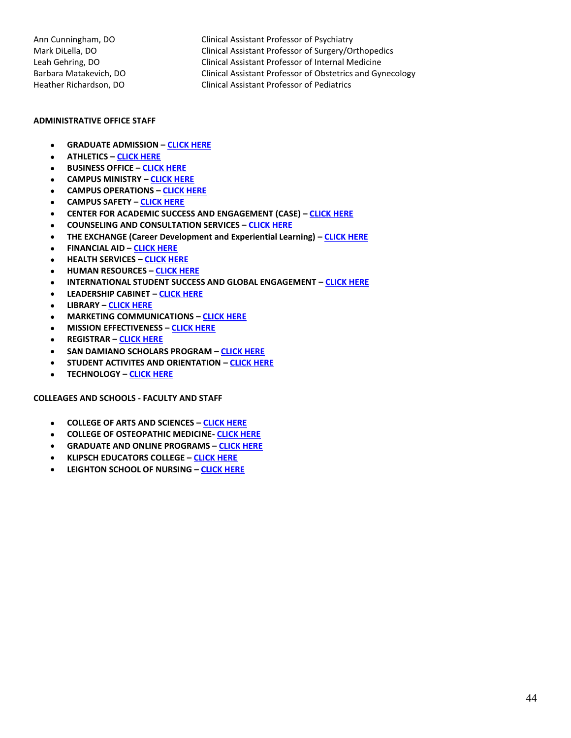Ann Cunningham, DO Clinical Assistant Professor of Psychiatry Mark DiLella, DO Clinical Assistant Professor of Surgery/Orthopedics Leah Gehring, DO Clinical Assistant Professor of Internal Medicine Barbara Matakevich, DO Clinical Assistant Professor of Obstetrics and Gynecology Heather Richardson, DO Clinical Assistant Professor of Pediatrics

#### **ADMINISTRATIVE OFFICE STAFF**

- **GRADUATE ADMISSION – [CLICK HERE](https://www.marian.edu/academics/office-of-graduate-studies)**
- **ATHLETICS – [CLICK HERE](http://www.muknights.com/staff)**
- **BUSINESS OFFICE – [CLICK HERE](https://www.marian.edu/admissions/tuition-and-fees/contact-the-business-office)**
- **CAMPUS MINISTRY – [CLICK HERE](https://www.marian.edu/faith/campus-ministry/staff)**
- **CAMPUS OPERATIONS – [CLICK HERE](https://www.marian.edu/campus-operations/our-staff)**
- **CAMPUS SAFETY – [CLICK HERE](https://www.marian.edu/campus-life/campus-safety/officers-and-dispatchers)**
- **CENTER FOR ACADEMIC SUCCESS AND ENGAGEMENT (CASE) – [CLICK HERE](https://www.marian.edu/campus-life/student-success-contacts)**
- **COUNSELING AND CONSULTATION SERVICES – [CLICK HERE](https://www.marian.edu/campus-life/counseling-services-and-programs/staff)**
- **THE EXCHANGE (Career Development and Experiential Learning) – [CLICK HERE](https://www.marian.edu/the-exchange/about-the-exchange)**
- **FINANCIAL AID – [CLICK HERE](https://www.marian.edu/Admissions/financial-aid/contact-us)**
- **HEALTH SERVICES – [CLICK HERE](https://www.marian.edu/campus-life/health-and-wellness/staff)**
- **HUMAN RESOURCES – [CLICK HERE](https://www.marian.edu/about-marian/human-resources/staff)**
- **INTERNATIONAL STUDENT SUCCESS AND GLOBAL ENGAGEMENT – [CLICK HERE](https://www.marian.edu/international-programs/contact-us)**
- **LEADERSHIP CABINET – [CLICK HERE](https://www.marian.edu/about-marian/leadership/cabinet)**
- **LIBRARY – [CLICK HERE](https://www.marian.edu/current-students/library/about/contact-the-library)**
- **MARKETING COMMUNICATIONS – [CLICK HERE](https://www.marian.edu/marketing-communications/this-is-who-we-are)**
- **MISSION EFFECTIVENESS – [CLICK HERE](https://www.marian.edu/faith/ministry-staff)**
- **REGISTRAR – [CLICK HERE](https://www.marian.edu/current-students/registrar/contact-the-registrar)**
- **SAN DAMIANO SCHOLARS PROGRAM – [CLICK HERE](https://www.marian.edu/faith/san-damiano-scholars#staff)**
- **STUDENT ACTIVITES AND ORIENTATION – [CLICK HERE](https://www.marian.edu/campus-life/student-activities-and-orientation/contact)**
- **TECHNOLOGY – [CLICK HERE](https://www.marian.edu/current-students/information-technology/staff)**

#### **COLLEAGES AND SCHOOLS - FACULTY AND STAFF**

- **COLLEGE OF ARTS AND SCIENCES – [CLICK HERE](https://www.marian.edu/college-of-arts-and-sciences/faculty-and-staff)**
- **COLLEGE OF OSTEOPATHIC MEDICINE- [CLICK HERE](https://www.marian.edu/osteopathic-medical-school/faculty-and-staff)**
- **GRADUATE AND ONLINE PROGRAMS – [CLICK HERE](https://www.marian.edu/academics/marian)**
- **KLIPSCH EDUCATORS COLLEGE – [CLICK HERE](https://www.marian.edu/educators-college/faculty-and-staff)**
- **LEIGHTON SCHOOL OF NURSING – [CLICK HERE](https://www.marian.edu/school-of-nursing/faculty-staff/undergrad-faculty-staff)**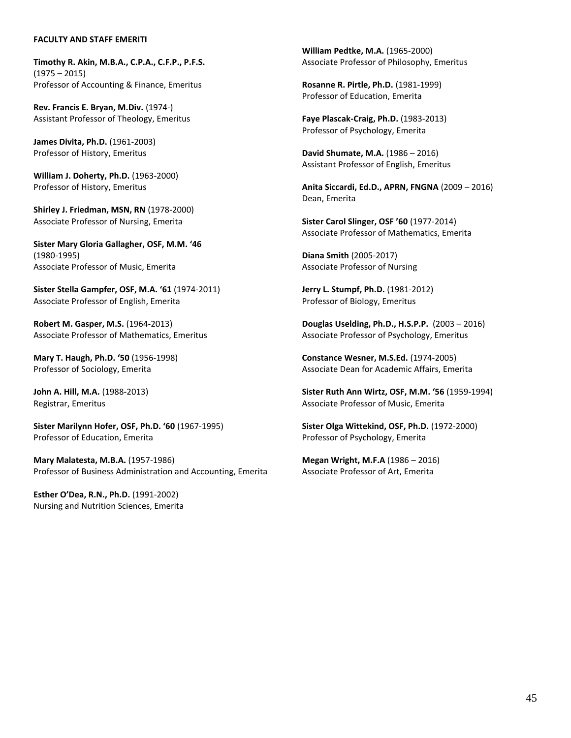#### **FACULTY AND STAFF EMERITI**

**Timothy R. Akin, M.B.A., C.P.A., C.F.P., P.F.S.** (1975 – 2015) Professor of Accounting & Finance, Emeritus

**Rev. Francis E. Bryan, M.Div.** (1974-) Assistant Professor of Theology, Emeritus

**James Divita, Ph.D.** (1961-2003) Professor of History, Emeritus

**William J. Doherty, Ph.D.** (1963-2000) Professor of History, Emeritus

**Shirley J. Friedman, MSN, RN** (1978-2000) Associate Professor of Nursing, Emerita

**Sister Mary Gloria Gallagher, OSF, M.M. '46** (1980-1995) Associate Professor of Music, Emerita

**Sister Stella Gampfer, OSF, M.A. '61** (1974-2011) Associate Professor of English, Emerita

**Robert M. Gasper, M.S.** (1964-2013) Associate Professor of Mathematics, Emeritus

**Mary T. Haugh, Ph.D. '50** (1956-1998) Professor of Sociology, Emerita

**John A. Hill, M.A.** (1988-2013) Registrar, Emeritus

**Sister Marilynn Hofer, OSF, Ph.D. '60** (1967-1995) Professor of Education, Emerita

**Mary Malatesta, M.B.A.** (1957-1986) Professor of Business Administration and Accounting, Emerita

**Esther O'Dea, R.N., Ph.D.** (1991-2002) Nursing and Nutrition Sciences, Emerita **William Pedtke, M.A.** (1965-2000) Associate Professor of Philosophy, Emeritus

**Rosanne R. Pirtle, Ph.D.** (1981-1999) Professor of Education, Emerita

**Faye Plascak-Craig, Ph.D.** (1983-2013) Professor of Psychology, Emerita

**David Shumate, M.A.** (1986 – 2016) Assistant Professor of English, Emeritus

**Anita Siccardi, Ed.D., APRN, FNGNA** (2009 – 2016) Dean, Emerita

**Sister Carol Slinger, OSF '60** (1977-2014) Associate Professor of Mathematics, Emerita

**Diana Smith** (2005-2017) Associate Professor of Nursing

**Jerry L. Stumpf, Ph.D.** (1981-2012) Professor of Biology, Emeritus

**Douglas Uselding, Ph.D., H.S.P.P.** (2003 – 2016) Associate Professor of Psychology, Emeritus

**Constance Wesner, M.S.Ed.** (1974-2005) Associate Dean for Academic Affairs, Emerita

**Sister Ruth Ann Wirtz, OSF, M.M. '56** (1959-1994) Associate Professor of Music, Emerita

**Sister Olga Wittekind, OSF, Ph.D.** (1972-2000) Professor of Psychology, Emerita

**Megan Wright, M.F.A** (1986 – 2016) Associate Professor of Art, Emerita